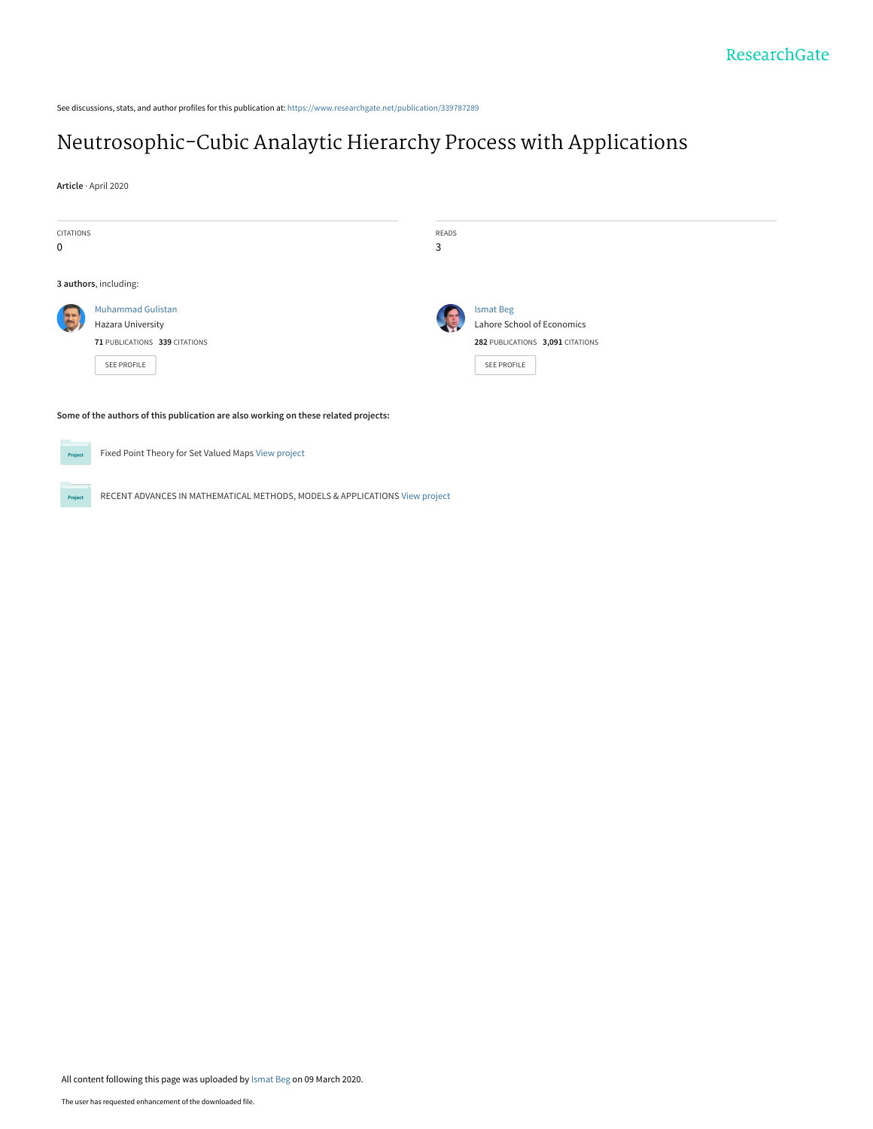See discussions, stats, and author profiles for this publication at: [https://www.researchgate.net/publication/339787289](https://www.researchgate.net/publication/339787289_Neutrosophic-Cubic_Analaytic_Hierarchy_Process_with_Applications?enrichId=rgreq-9e064b6e67318f1da243b07852c51555-XXX&enrichSource=Y292ZXJQYWdlOzMzOTc4NzI4OTtBUzo4NjcwNTA0NDg3NTY3MzhAMTU4MzczMjM0NDg4NA%3D%3D&el=1_x_2&_esc=publicationCoverPdf)

# [Neutrosophic-Cubic Analaytic Hierarchy Process with Applications](https://www.researchgate.net/publication/339787289_Neutrosophic-Cubic_Analaytic_Hierarchy_Process_with_Applications?enrichId=rgreq-9e064b6e67318f1da243b07852c51555-XXX&enrichSource=Y292ZXJQYWdlOzMzOTc4NzI4OTtBUzo4NjcwNTA0NDg3NTY3MzhAMTU4MzczMjM0NDg4NA%3D%3D&el=1_x_3&_esc=publicationCoverPdf)

**Article** · April 2020

| <b>CITATIONS</b><br>$\mathbf 0$ |                                                                                               | READS<br>3 |                                                                                                   |
|---------------------------------|-----------------------------------------------------------------------------------------------|------------|---------------------------------------------------------------------------------------------------|
|                                 | 3 authors, including:                                                                         |            |                                                                                                   |
|                                 | <b>Muhammad Gulistan</b><br>Hazara University<br>71 PUBLICATIONS 339 CITATIONS<br>SEE PROFILE |            | <b>Ismat Beg</b><br>Lahore School of Economics<br>282 PUBLICATIONS 3,091 CITATIONS<br>SEE PROFILE |
|                                 | Some of the authors of this publication are also working on these related projects:           |            |                                                                                                   |
| Project                         | Fixed Point Theory for Set Valued Maps View project                                           |            |                                                                                                   |

RECENT ADVANCES IN MATHEMATICAL METHODS, MODELS & APPLICATIONS [View project](https://www.researchgate.net/project/RECENT-ADVANCES-IN-MATHEMATICAL-METHODS-MODELS-APPLICATIONS?enrichId=rgreq-9e064b6e67318f1da243b07852c51555-XXX&enrichSource=Y292ZXJQYWdlOzMzOTc4NzI4OTtBUzo4NjcwNTA0NDg3NTY3MzhAMTU4MzczMjM0NDg4NA%3D%3D&el=1_x_9&_esc=publicationCoverPdf) Project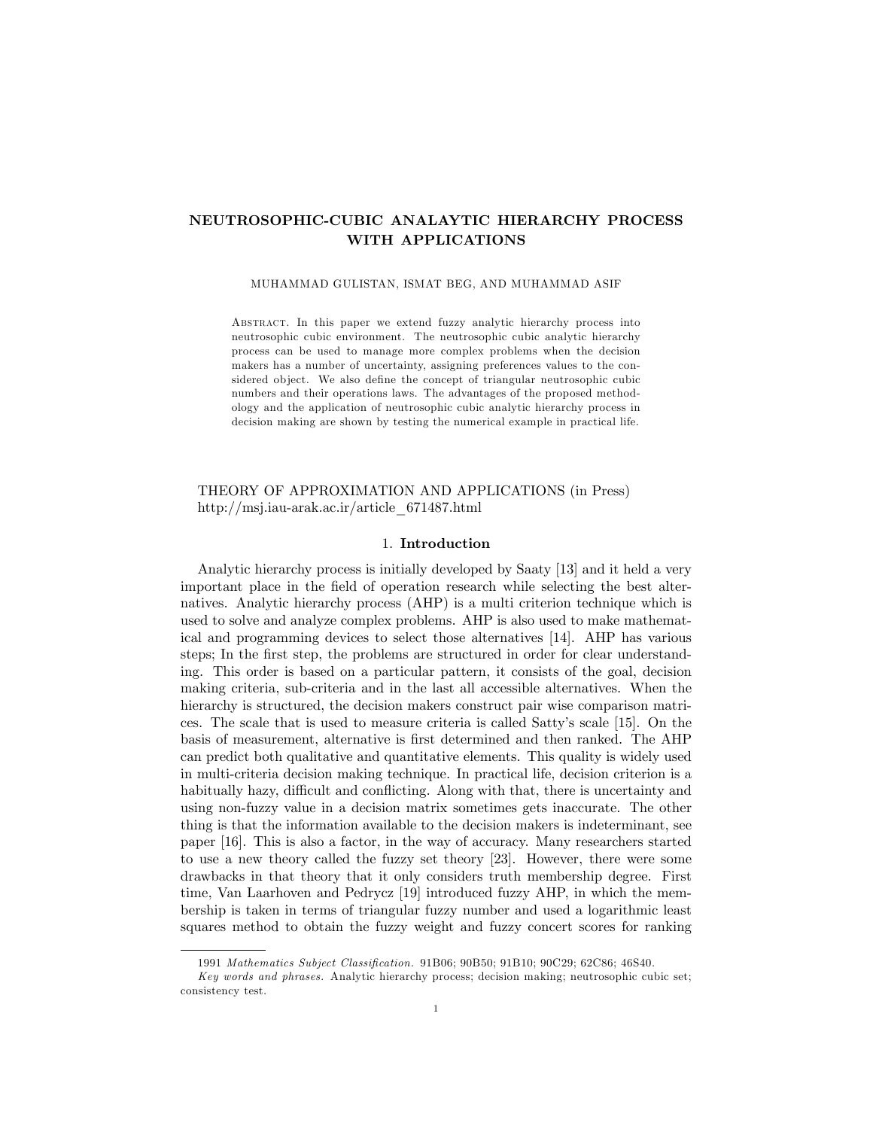# NEUTROSOPHIC-CUBIC ANALAYTIC HIERARCHY PROCESS WITH APPLICATIONS

#### MUHAMMAD GULISTAN, ISMAT BEG, AND MUHAMMAD ASIF

Abstract. In this paper we extend fuzzy analytic hierarchy process into neutrosophic cubic environment. The neutrosophic cubic analytic hierarchy process can be used to manage more complex problems when the decision makers has a number of uncertainty, assigning preferences values to the considered object. We also define the concept of triangular neutrosophic cubic numbers and their operations laws. The advantages of the proposed methodology and the application of neutrosophic cubic analytic hierarchy process in decision making are shown by testing the numerical example in practical life.

## THEORY OF APPROXIMATION AND APPLICATIONS (in Press) http://msj.iau-arak.ac.ir/article\_671487.html

#### 1. Introduction

Analytic hierarchy process is initially developed by Saaty [13] and it held a very important place in the Öeld of operation research while selecting the best alternatives. Analytic hierarchy process (AHP) is a multi criterion technique which is used to solve and analyze complex problems. AHP is also used to make mathematical and programming devices to select those alternatives [14]. AHP has various steps; In the first step, the problems are structured in order for clear understanding. This order is based on a particular pattern, it consists of the goal, decision making criteria, sub-criteria and in the last all accessible alternatives. When the hierarchy is structured, the decision makers construct pair wise comparison matrices. The scale that is used to measure criteria is called Sattyís scale [15]. On the basis of measurement, alternative is Örst determined and then ranked. The AHP can predict both qualitative and quantitative elements. This quality is widely used in multi-criteria decision making technique. In practical life, decision criterion is a habitually hazy, difficult and conflicting. Along with that, there is uncertainty and using non-fuzzy value in a decision matrix sometimes gets inaccurate. The other thing is that the information available to the decision makers is indeterminant, see paper [16]. This is also a factor, in the way of accuracy. Many researchers started to use a new theory called the fuzzy set theory [23]. However, there were some drawbacks in that theory that it only considers truth membership degree. First time, Van Laarhoven and Pedrycz [19] introduced fuzzy AHP, in which the membership is taken in terms of triangular fuzzy number and used a logarithmic least squares method to obtain the fuzzy weight and fuzzy concert scores for ranking

<sup>1991</sup> Mathematics Subject Classification. 91B06; 90B50; 91B10; 90C29; 62C86; 46S40.

Key words and phrases. Analytic hierarchy process; decision making; neutrosophic cubic set; consistency test.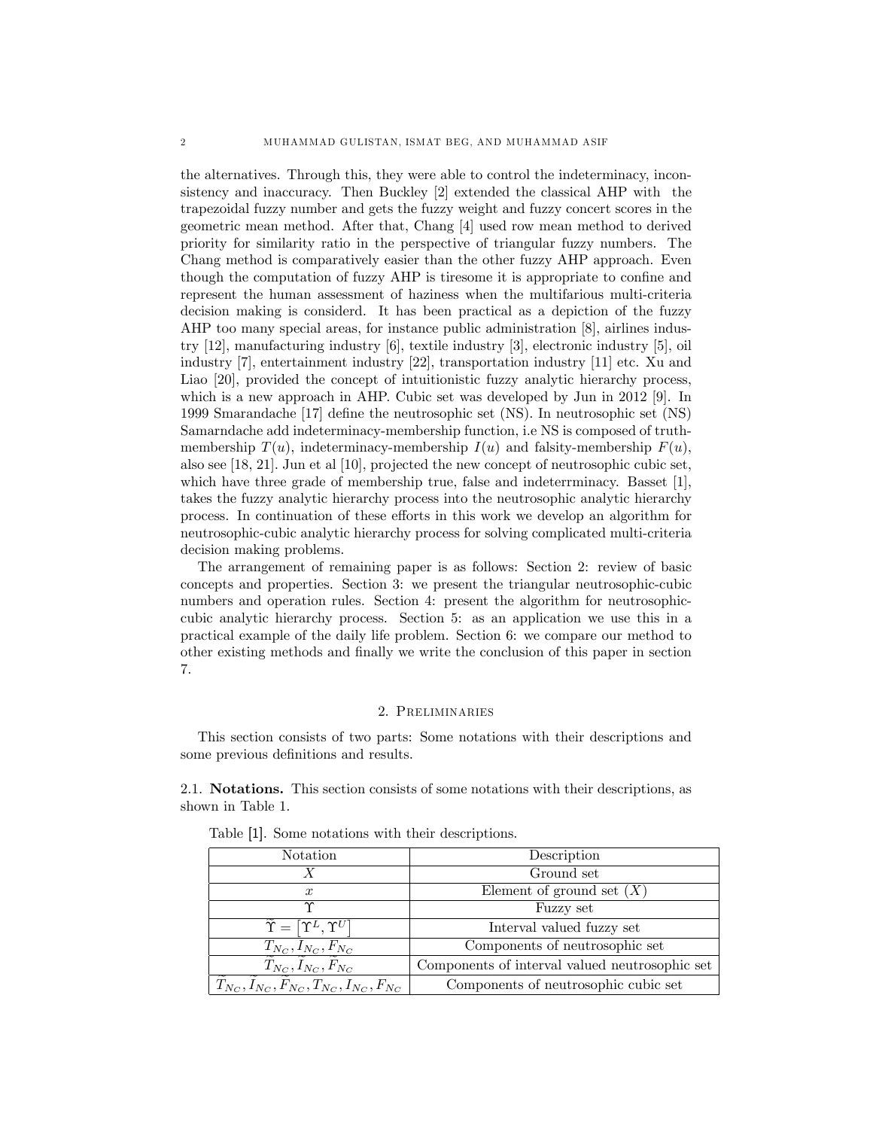the alternatives. Through this, they were able to control the indeterminacy, inconsistency and inaccuracy. Then Buckley [2] extended the classical AHP with the trapezoidal fuzzy number and gets the fuzzy weight and fuzzy concert scores in the geometric mean method. After that, Chang [4] used row mean method to derived priority for similarity ratio in the perspective of triangular fuzzy numbers. The Chang method is comparatively easier than the other fuzzy AHP approach. Even though the computation of fuzzy AHP is tiresome it is appropriate to confine and represent the human assessment of haziness when the multifarious multi-criteria decision making is considerd. It has been practical as a depiction of the fuzzy AHP too many special areas, for instance public administration [8], airlines industry [12], manufacturing industry [6], textile industry [3], electronic industry [5], oil industry [7], entertainment industry [22], transportation industry [11] etc. Xu and Liao [20], provided the concept of intuitionistic fuzzy analytic hierarchy process, which is a new approach in AHP. Cubic set was developed by Jun in 2012 [9]. In 1999 Smarandache [17] deÖne the neutrosophic set (NS). In neutrosophic set (NS) Samarndache add indeterminacy-membership function, i.e NS is composed of truthmembership  $T(u)$ , indeterminacy-membership  $I(u)$  and falsity-membership  $F(u)$ , also see [18, 21]: Jun et al [10], projected the new concept of neutrosophic cubic set, which have three grade of membership true, false and indeterrminacy. Basset [1], takes the fuzzy analytic hierarchy process into the neutrosophic analytic hierarchy process. In continuation of these efforts in this work we develop an algorithm for neutrosophic-cubic analytic hierarchy process for solving complicated multi-criteria decision making problems.

The arrangement of remaining paper is as follows: Section 2: review of basic concepts and properties. Section 3: we present the triangular neutrosophic-cubic numbers and operation rules. Section 4: present the algorithm for neutrosophiccubic analytic hierarchy process. Section 5: as an application we use this in a practical example of the daily life problem. Section 6: we compare our method to other existing methods and Önally we write the conclusion of this paper in section 7.

## 2. Preliminaries

This section consists of two parts: Some notations with their descriptions and some previous definitions and results.

2.1. Notations. This section consists of some notations with their descriptions, as shown in Table 1.

| Notation                                               | Description                                    |
|--------------------------------------------------------|------------------------------------------------|
|                                                        | Ground set                                     |
| $\boldsymbol{x}$                                       | Element of ground set $(X)$                    |
| Υ                                                      | Fuzzy set                                      |
| $\widetilde{\Upsilon} = [\Upsilon^L, \Upsilon^U]$      | Interval valued fuzzy set                      |
| $T_{N_C}, I_{N_C}, F_{N_C}$                            | Components of neutrosophic set                 |
| $T_{N_C}, I_{N_C}, F_{N_C}$                            | Components of interval valued neutrosophic set |
| $T_{N_C}, I_{N_C}, F_{N_C}, T_{N_C}, I_{N_C}, F_{N_C}$ | Components of neutrosophic cubic set           |

Table [1]. Some notations with their descriptions.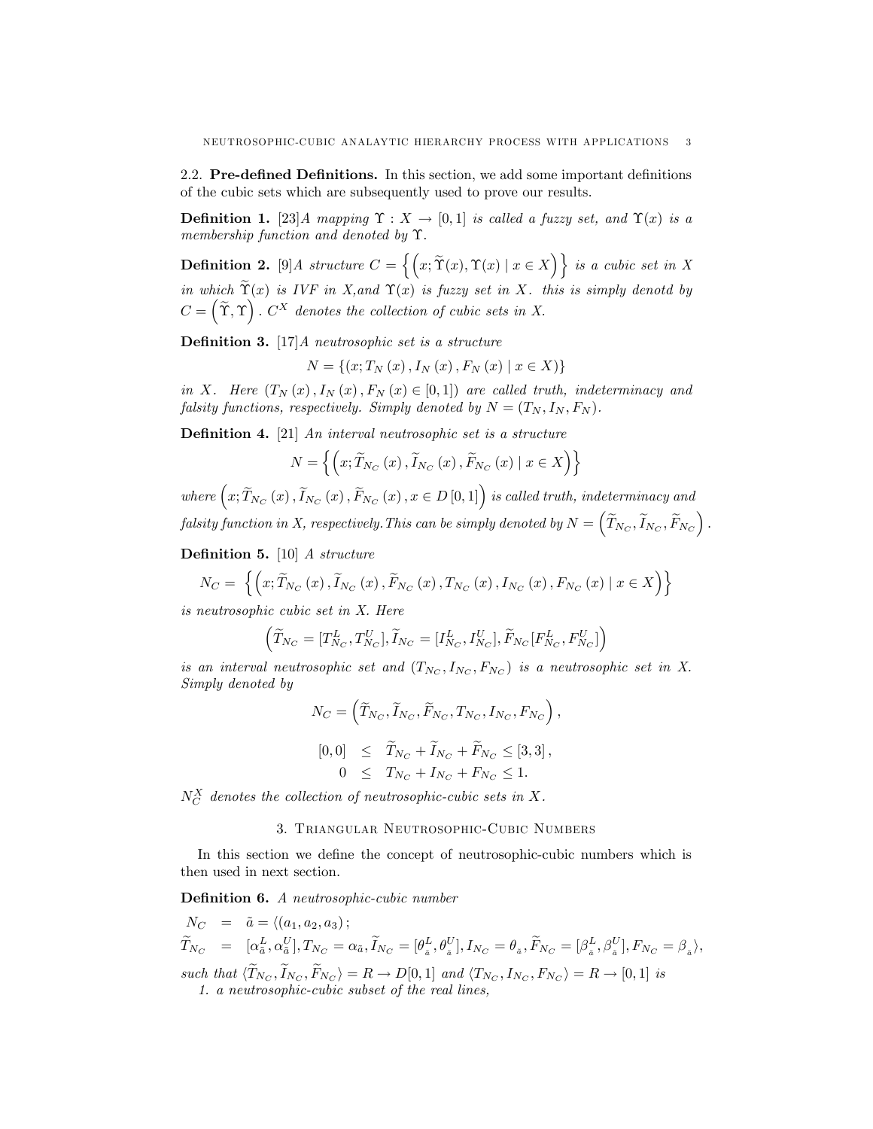2.2. Pre-defined Definitions. In this section, we add some important definitions of the cubic sets which are subsequently used to prove our results.

**Definition 1.** [23] A mapping  $\Upsilon : X \to [0,1]$  is called a fuzzy set, and  $\Upsilon(x)$  is a membership function and denoted by  $\Upsilon$ .

**Definition 2.** [9] A structure  $C = \{ (x, \widetilde{\Upsilon}(x), \Upsilon(x) \mid x \in X) \}$  is a cubic set in X in which  $\widetilde{\Upsilon}(x)$  is IVF in X, and  $\Upsilon(x)$  is fuzzy set in X. this is simply denotd by  $C = \left(\widetilde{\Upsilon}, \Upsilon\right)$ .  $C^X$  denotes the collection of cubic sets in X.

**Definition 3.** [17] A neutrosophic set is a structure

 $N = \{(x; T_N(x), I_N(x), F_N(x) \mid x \in X)\}\$ 

in X. Here  $(T_N(x), I_N(x), F_N(x) \in [0,1])$  are called truth, indeterminacy and falsity functions, respectively. Simply denoted by  $N = (T_N, I_N, F_N)$ .

**Definition 4.** [21] An interval neutrosophic set is a structure

$$
N = \left\{ \left( x; \widetilde{T}_{N_C} \left( x \right), \widetilde{I}_{N_C} \left( x \right), \widetilde{F}_{N_C} \left( x \right) \mid x \in X \right) \right\}
$$

where  $(x; \widetilde{T}_{N_C}(x), \widetilde{I}_{N_C}(x), \widetilde{F}_{N_C}(x), x \in D[0,1])$  is called truth, indeterminacy and  $\textit{falsity function in $X$, respectively.}$  This can be simply denoted by  $N = \left(\widetilde{T}_{N_C}, \widetilde{I}_{N_C}, \widetilde{F}_{N_C}\right).$ 

**Definition 5.** [10] A structure

$$
N_C = \left\{ \left( x; \widetilde{T}_{N_C}\left(x\right), \widetilde{I}_{N_C}\left(x\right), \widetilde{F}_{N_C}\left(x\right), T_{N_C}\left(x\right), I_{N_C}\left(x\right), F_{N_C}\left(x\right) \mid x \in X \right) \right\}
$$

is neutrosophic cubic set in X. Here

$$
\left(\widetilde{T}_{N_C} = [T_{N_C}^L, T_{N_C}^U], \widetilde{I}_{N_C} = [I_{N_C}^L, I_{N_C}^U], \widetilde{F}_{N_C}[F_{N_C}^L, F_{N_C}^U]\right)
$$

is an interval neutrosophic set and  $(T_{N_C}, I_{N_C}, F_{N_C})$  is a neutrosophic set in X. Simply denoted by

$$
N_C = \left( \widetilde{T}_{N_C}, \widetilde{I}_{N_C}, \widetilde{F}_{N_C}, T_{N_C}, I_{N_C}, F_{N_C} \right),
$$
  
\n
$$
[0, 0] \leq \widetilde{T}_{N_C} + \widetilde{I}_{N_C} + \widetilde{F}_{N_C} \leq [3, 3],
$$
  
\n
$$
0 \leq T_{N_C} + I_{N_C} + F_{N_C} \leq 1.
$$

 $N_C^X$  denotes the collection of neutrosophic-cubic sets in X.

### 3. Triangular Neutrosophic-Cubic Numbers

In this section we define the concept of neutrosophic-cubic numbers which is then used in next section.

Definition 6. A neutrosophic-cubic number

$$
\begin{array}{rcl}\nN_C & = & \tilde{a} = \langle (a_1, a_2, a_3); \\
\tilde{T}_{N_C} & = & [\alpha_{\tilde{a}}^L, \alpha_{\tilde{a}}^U], \\
T_{N_C} = & [\alpha_{\tilde{a}}^L, \alpha_{\tilde{a}}^U], \\
T_{N_C} = & \alpha_{\tilde{a}}, \\
\tilde{T}_{N_C} = [\theta_{\tilde{a}}^L, \theta_{\tilde{a}}^U], \\
I_{N_C} = \theta_{\tilde{a}}, \\
\tilde{F}_{N_C} = [\beta_{\tilde{a}}^L, \beta_{\tilde{a}}^U], \\
F_{N_C} = \beta_{\tilde{a}}\rangle,\n\end{array}
$$

such that  $\langle T_{N_C}, I_{N_C}, F_{N_C} \rangle = R \rightarrow D[0, 1]$  and  $\langle T_{N_C}, I_{N_C}, F_{N_C} \rangle = R \rightarrow [0, 1]$  is 1. a neutrosophic-cubic subset of the real lines,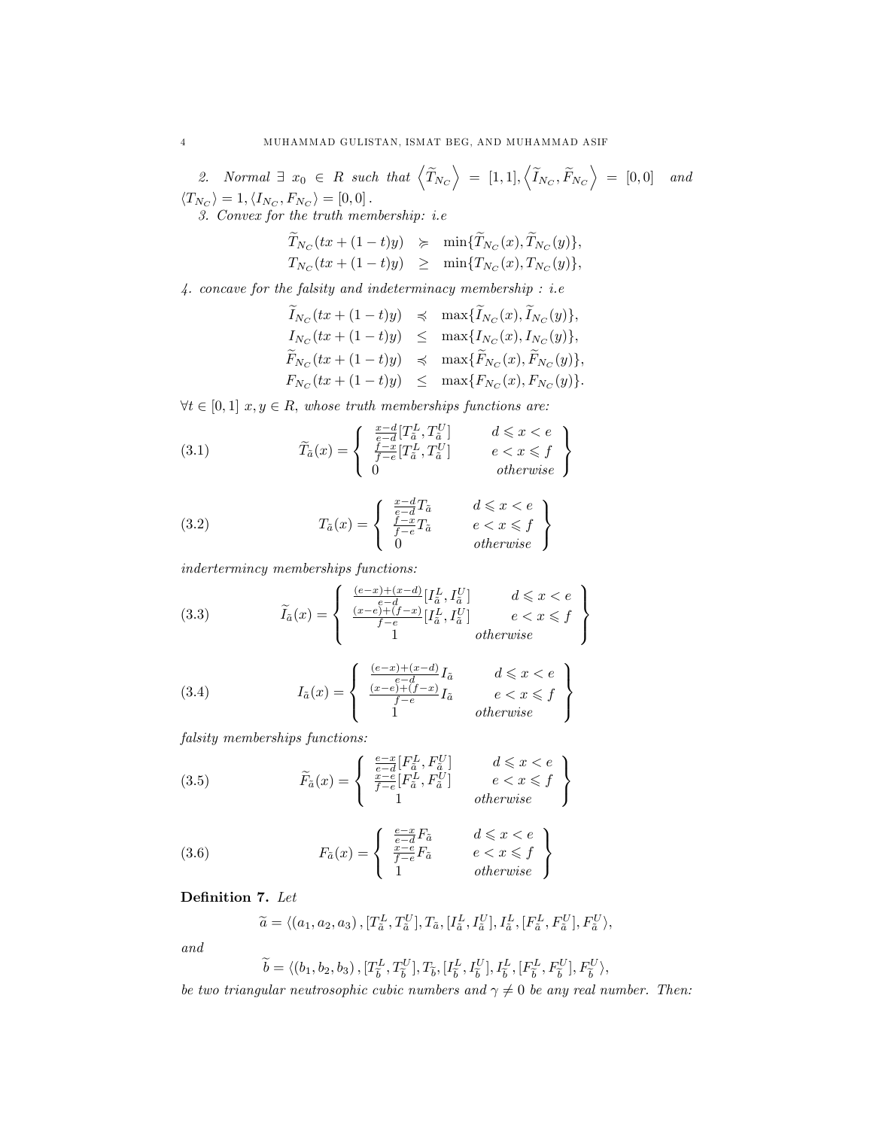2. Normal  $\exists x_0 \in R$  such that  $\langle \widetilde{T}_{N_C} \rangle = [1,1], \langle \widetilde{I}_{N_C}, \widetilde{F}_{N_C} \rangle = [0,0]$  and  $\langle T_{N_C} \rangle = 1, \langle I_{N_C}, F_{N_C} \rangle = [0, 0].$ 3. Convex for the truth membership: i.e

$$
\begin{array}{rcl}\widetilde{T}_{N_C}(tx+(1-t)y)&\succeq&\min\{\widetilde{T}_{N_C}(x),\widetilde{T}_{N_C}(y)\},\\ T_{N_C}(tx+(1-t)y)&\geq&\min\{T_{N_C}(x),T_{N_C}(y)\},\end{array}
$$

 $\mathcal{4}.$  concave for the falsity and indeterminacy membership : i.e

$$
\widetilde{I}_{N_C}(tx + (1-t)y) \preccurlyeq \max{\widetilde{I}_{N_C}(x), \widetilde{I}_{N_C}(y)},
$$
\n
$$
\begin{array}{rcl}\nI_{N_C}(tx + (1-t)y) & \leq & \max{\{I_{N_C}(x), I_{N_C}(y)\}}, \\
\widetilde{F}_{N_C}(tx + (1-t)y) & \leq & \max{\{\widetilde{F}_{N_C}(x), \widetilde{F}_{N_C}(y)\}}, \\
F_{N_C}(tx + (1-t)y) & \leq & \max{\{F_{N_C}(x), F_{N_C}(y)\}}.\n\end{array}
$$

 $\forall t \in [0,1]$   $x, y \in R$ , whose truth memberships functions are:

(3.1) 
$$
\widetilde{T}_{\tilde{a}}(x) = \begin{cases}\n\frac{x-d}{e-d} [T_{\tilde{a}}^{L}, T_{\tilde{a}}^{U}] & d \leq x < e \\
\frac{f-x}{f-e} [T_{\tilde{a}}^{L}, T_{\tilde{a}}^{U}] & e < x \leq f \\
0 & otherwise\n\end{cases}
$$

(3.2) 
$$
T_{\tilde{a}}(x) = \begin{cases} \frac{x-d}{e-a}T_{\tilde{a}} & d \leq x < e\\ \frac{f-x}{f-e}T_{\tilde{a}} & e < x \leq f\\ 0 & otherwise \end{cases}
$$

indertermincy memberships functions:

(3.3) 
$$
\widetilde{I}_{\tilde{a}}(x) = \begin{cases} \frac{(e-x)+(x-d)}{e-d} [I_{\tilde{a}}^{L}, I_{\tilde{a}}^{U}] & d \leq x < e \\ \frac{(x-e)+(f-x)}{f-e} [I_{\tilde{a}}^{L}, I_{\tilde{a}}^{U}] & e < x \leq f \\ 1 & otherwise \end{cases}
$$

(3.4) 
$$
I_{\tilde{a}}(x) = \begin{cases} \frac{(e-x)+(x-d)}{e-d}I_{\tilde{a}} & d \leq x < e\\ \frac{(x-e)+(f-x)}{f-e}I_{\tilde{a}} & e < x \leq f\\ 1 & otherwise \end{cases}
$$

falsity memberships functions:

(3.5) 
$$
\widetilde{F}_a(x) = \begin{cases}\n\frac{e-x}{e-d} [F_a^L, F_a^U] & d \leq x < e \\
\frac{x-e}{f-e} [F_a^L, F_a^U] & e < x \leq f \\
1 & otherwise\n\end{cases}
$$

(3.6) 
$$
F_{\tilde{a}}(x) = \begin{cases} \frac{e-x}{e-\tilde{d}}F_{\tilde{a}} & d \leq x < e\\ \frac{x-e}{f-e}F_{\tilde{a}} & e < x \leq f\\ 1 & otherwise \end{cases}
$$

Definition 7. Let

$$
\widetilde{a} = \langle (a_1, a_2, a_3), [T_{\tilde{a}}^L, T_{\tilde{a}}^U], T_{\tilde{a}}, [I_{\tilde{a}}^L, I_{\tilde{a}}^U], I_{\tilde{a}}^L, [F_{\tilde{a}}^L, F_{\tilde{a}}^U], F_{\tilde{a}}^U \rangle,
$$

and

$$
\widetilde{b} = \langle (b_1, b_2, b_3), [T_{\widetilde{b}}^L, T_{\widetilde{b}}^U], T_{\widetilde{b}}, [I_{\widetilde{b}}^L, I_{\widetilde{b}}^U], I_{\widetilde{b}}^L, [F_{\widetilde{b}}^L, F_{\widetilde{b}}^U], F_{\widetilde{b}}^U \rangle,
$$

be two triangular neutrosophic cubic numbers and  $\gamma \neq 0$  be any real number. Then: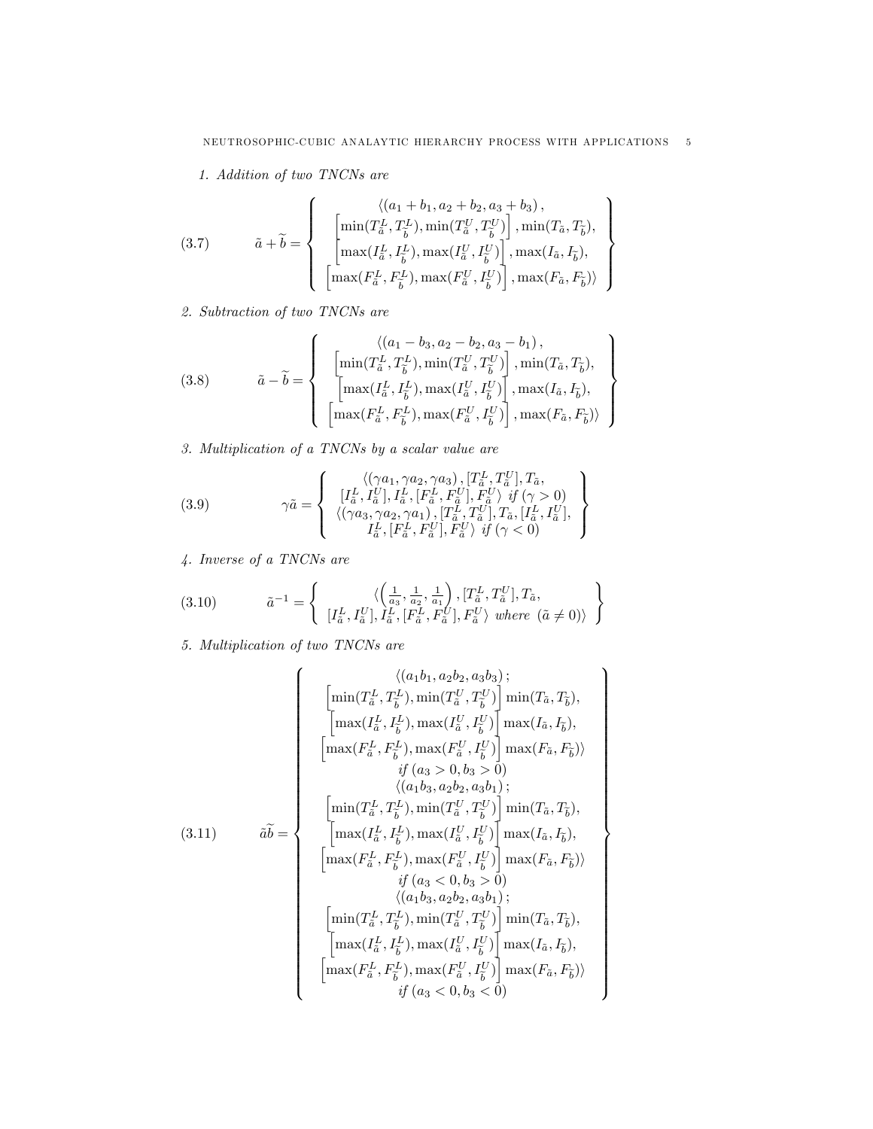$\mathbf{A}$  $\overline{\phantom{a}}$ 

 $\int$ 

 $\mathbf{A}$ 

>>>>>>>>>>>>>>>>>>>>>>>>>>>>>>>>>=

>>>>>>>>>>>>>>>>>>>>>>>>>>>>>>>>>;

1. Addition of two TNCNs are

(3.7) 
$$
\tilde{a} + \tilde{b} = \begin{cases} \langle (a_1 + b_1, a_2 + b_2, a_3 + b_3), \\ \left[ \min(T_{\tilde{a}}^L, T_{\tilde{b}}^L), \min(T_{\tilde{a}}^L, T_{\tilde{b}}^U) \right], \min(T_{\tilde{a}}, T_{\tilde{b}}), \\ \left[ \max(T_{\tilde{a}}^L, I_{\tilde{b}}^L), \max(T_{\tilde{a}}^U, I_{\tilde{b}}^U) \right], \max(T_{\tilde{a}}, I_{\tilde{b}}), \\ \left[ \max(F_{\tilde{a}}^L, F_{\tilde{b}}^L), \max(F_{\tilde{a}}^U, I_{\tilde{b}}^U) \right], \max(F_{\tilde{a}}, F_{\tilde{b}}) \rangle \end{cases}
$$

2. Subtraction of two TNCNs are

(3.8) 
$$
\tilde{a} - \tilde{b} = \left\{ \begin{array}{c} \langle (a_1 - b_3, a_2 - b_2, a_3 - b_1), \\ \left[ \min(T_{\tilde{a}}^L, T_{\tilde{b}}^L), \min(T_{\tilde{a}}^L, T_{\tilde{b}}^U) \right], \min(T_{\tilde{a}}, T_{\tilde{b}}), \\ \left[ \max(I_{\tilde{a}}^L, I_{\tilde{b}}^L), \max(I_{\tilde{a}}^U, I_{\tilde{b}}^U) \right], \max(I_{\tilde{a}}, I_{\tilde{b}}), \\ \left[ \max(F_{\tilde{a}}^L, F_{\tilde{b}}^L), \max(F_{\tilde{a}}^U, I_{\tilde{b}}^U) \right], \max(F_{\tilde{a}}, F_{\tilde{b}}) \rangle \end{array} \right\}
$$

3. Multiplication of a TNCNs by a scalar value are

(3.9) 
$$
\gamma \tilde{a} = \left\{ \begin{array}{c} \langle (\gamma a_1, \gamma a_2, \gamma a_3), [T^L_a, T^U_{\tilde{a}}], T_{\tilde{a}},\\ [I^L_{\tilde{a}}, I^U_{\tilde{a}}], I^L_{\tilde{a}}, [F^L_{\tilde{a}}, F^U_{\tilde{a}}], F^U_{\tilde{a}} \rangle \quad \text{if } (\gamma > 0)\\ \langle (\gamma a_3, \gamma a_2, \gamma a_1), [T^L_a, T^U_{\tilde{a}}], T_{\tilde{a}}, [I^L_{\tilde{a}}, I^U_{\tilde{a}}],\\ I^L_{\tilde{a}}, [F^L_{\tilde{a}}, F^U_{\tilde{a}}], F^U_{\tilde{a}} \rangle \quad \text{if } (\gamma < 0) \end{array} \right\}
$$

4. Inverse of a TNCNs are

(3.10) 
$$
\tilde{a}^{-1} = \left\{ \begin{array}{c} \langle \left( \frac{1}{a_3}, \frac{1}{a_2}, \frac{1}{a_1} \right), [T_{\tilde{a}}^L, T_{\tilde{a}}^U], T_{\tilde{a}}, \\ [I_{\tilde{a}}^L, I_{\tilde{a}}^U], I_{\tilde{a}}^L, [F_{\tilde{a}}^L, F_{\tilde{a}}^U], F_{\tilde{a}}^U \rangle \ \text{where} \ (\tilde{a} \neq 0) \rangle \end{array} \right\}
$$

5. Multiplication of two TNCNs are

$$
(3.11)
$$
\n
$$
\tilde{ab} = \begin{cases}\n\begin{bmatrix}\n(a_1b_1, a_2b_2, a_3b_3) \\
\begin{bmatrix}\n\min(T_{\tilde{a}}^L, T_{\tilde{b}}^L), \min(T_{\tilde{a}}^U, T_{\tilde{b}}^U)\n\end{bmatrix}\n\min(T_{\tilde{a}}, T_{\tilde{b}}), \\
\begin{bmatrix}\n\max(I_{\tilde{a}}^L, I_{\tilde{b}}^L), \max(I_{\tilde{a}}^U, I_{\tilde{b}}^U)\n\end{bmatrix}\n\max(I_{\tilde{a}}, I_{\tilde{b}}), \\
\begin{bmatrix}\n\max(F_{\tilde{a}}^L, F_{\tilde{b}}^L), \max(F_{\tilde{a}}^U, I_{\tilde{b}}^U)\n\end{bmatrix}\n\max(F_{\tilde{a}}, F_{\tilde{b}})\n\end{bmatrix}, \\
(3.11)
$$
\n
$$
\tilde{ab} = \begin{cases}\n\begin{bmatrix}\n\min(T_{\tilde{a}}^L, T_{\tilde{b}}^L), \min(T_{\tilde{a}}^U, T_{\tilde{b}}^U)\n\end{bmatrix}\n\min(T_{\tilde{a}}, T_{\tilde{b}}), \\
\begin{bmatrix}\n\max(I_{\tilde{a}}^L, I_{\tilde{b}}^L), \max(I_{\tilde{a}}^U, I_{\tilde{b}}^U)\n\end{bmatrix}\n\max(I_{\tilde{a}}, I_{\tilde{b}}), \\
\begin{bmatrix}\n\max(F_{\tilde{a}}^L, F_{\tilde{b}}^L), \max(F_{\tilde{a}}^U, I_{\tilde{b}}^U)\n\end{bmatrix}\n\max(F_{\tilde{a}}, F_{\tilde{b}})\n\end{bmatrix}, \\
\begin{bmatrix}\n\min(T_{\tilde{a}}^L, T_{\tilde{b}}^L), \min(T_{\tilde{a}}^U, T_{\tilde{b}}^U)\n\end{bmatrix}\n\min(T_{\tilde{a}}, T_{\tilde{b}}), \\
\begin{bmatrix}\n\min(T_{\tilde{a}}^L, T_{\tilde{b}}^L), \max(I_{\tilde{a}}^U, I_{\tilde{b}}^U)\n\end{bmatrix}\n\max(I_{\tilde{a}}, I_{\tilde{b}}),
$$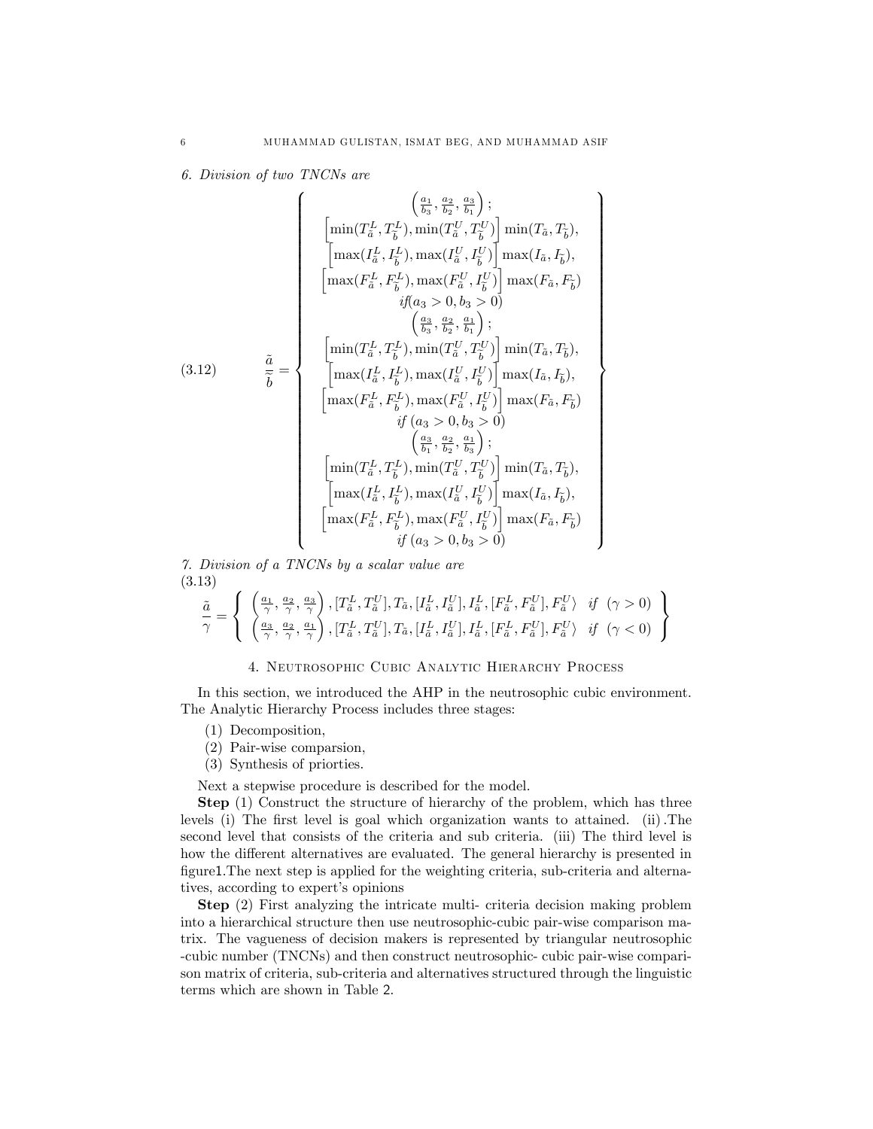$\mathbf{A}$ 

>>>>>>>>>>>>>>>>>>>>>>>>>>>>>>>>>>>>=

>>>>>>>>>>>>>>>>>>>>>>>>>>>>>>>>>>>>;

6. Division of two TNCNs are

(3.12)  
\n
$$
\begin{aligned}\n &\left[\min(T_{\tilde{a}}^{L}, T_{\tilde{b}}^{L}), \min(T_{\tilde{a}}^{U}, T_{\tilde{b}}^{U})\right] \min(T_{\tilde{a}}, T_{\tilde{b}}), \\
 &\left[\max(T_{\tilde{a}}^{L}, I_{\tilde{b}}^{L}), \max(T_{\tilde{a}}^{U}, I_{\tilde{b}}^{U})\right] \max(T_{\tilde{a}}, I_{\tilde{b}}), \\
 &\left[\max(F_{\tilde{a}}^{L}, F_{\tilde{b}}^{L}), \max(F_{\tilde{a}}^{U}, I_{\tilde{b}}^{U})\right] \max(T_{\tilde{a}}, I_{\tilde{b}}), \\
 &\left[\max(F_{\tilde{a}}^{L}, F_{\tilde{b}}^{L}), \max(F_{\tilde{a}}^{L}, I_{\tilde{b}}^{U})\right] \max(F_{\tilde{a}}, F_{\tilde{b}})\right. \\
 &\left.\left[\min(T_{\tilde{a}}^{L}, T_{\tilde{b}}^{L}), \min(T_{\tilde{a}}^{U}, T_{\tilde{b}}^{U})\right] \min(T_{\tilde{a}}, T_{\tilde{b}}), \\
 &\left[\max(T_{\tilde{a}}^{L}, I_{\tilde{b}}^{L}), \max(T_{\tilde{a}}^{U}, I_{\tilde{b}}^{U})\right] \max(T_{\tilde{a}}, T_{\tilde{b}}), \\
 &\left[\max(F_{\tilde{a}}^{L}, F_{\tilde{b}}^{L}), \max(F_{\tilde{a}}^{U}, I_{\tilde{b}}^{U})\right] \max(F_{\tilde{a}}, F_{\tilde{b}})\right. \\
 &\left.\left[\min(T_{\tilde{a}}^{L}, T_{\tilde{b}}^{L}), \min(T_{\tilde{a}}^{U}, T_{\tilde{b}}^{U})\right] \min(T_{\tilde{a}}, T_{\tilde{b}}), \\
 &\left[\min(T_{\tilde{a}}^{L}, T_{\tilde{b}}^{L}), \min(T_{\tilde{a}}^{U}, T_{\tilde{b}}^{U})\right] \min(T_{\tilde{a}}, T_{\tilde{b}}), \\
 &\left[\max(T_{\tilde{a}}^{L}, I_{\tilde{b}}^{L}), \max(T_{\tilde{a}}^{U}, I_{\tilde{b}}^{U})\right] \max(T_{\tilde
$$

7. Division of a TNCNs by a scalar value are (3.13)

$$
\frac{\tilde{a}}{\gamma} = \left\{ \begin{array}{c} \left(\frac{a_1}{\gamma}, \frac{a_2}{\gamma}, \frac{a_3}{\gamma}\right), \left[T_{\tilde{a}}^L, T_{\tilde{a}}^U\right], T_{\tilde{a}}, \left[I_{\tilde{a}}^L, I_{\tilde{a}}^U\right], I_{\tilde{a}}^L, \left[F_{\tilde{a}}^L, F_{\tilde{a}}^U\right], F_{\tilde{a}}^U \right\} & \text{if } (\gamma > 0) \\ \left(\frac{a_3}{\gamma}, \frac{a_2}{\gamma}, \frac{a_1}{\gamma}\right), \left[T_{\tilde{a}}^L, T_{\tilde{a}}^U\right], T_{\tilde{a}}, \left[I_{\tilde{a}}^L, I_{\tilde{a}}^U\right], I_{\tilde{a}}^L, \left[F_{\tilde{a}}^L, F_{\tilde{a}}^U\right], F_{\tilde{a}}^U \right\} & \text{if } (\gamma < 0) \end{array} \right\}
$$

## 4. Neutrosophic Cubic Analytic Hierarchy Process

In this section, we introduced the AHP in the neutrosophic cubic environment. The Analytic Hierarchy Process includes three stages:

- (1) Decomposition,
- (2) Pair-wise comparsion,
- (3) Synthesis of priorties.

Next a stepwise procedure is described for the model.

Step (1) Construct the structure of hierarchy of the problem, which has three levels (i) The first level is goal which organization wants to attained. (ii). The second level that consists of the criteria and sub criteria. (iii) The third level is how the different alternatives are evaluated. The general hierarchy is presented in figure1. The next step is applied for the weighting criteria, sub-criteria and alternatives, according to expert's opinions

Step (2) First analyzing the intricate multi- criteria decision making problem into a hierarchical structure then use neutrosophic-cubic pair-wise comparison matrix. The vagueness of decision makers is represented by triangular neutrosophic -cubic number (TNCNs) and then construct neutrosophic- cubic pair-wise comparison matrix of criteria, sub-criteria and alternatives structured through the linguistic terms which are shown in Table 2.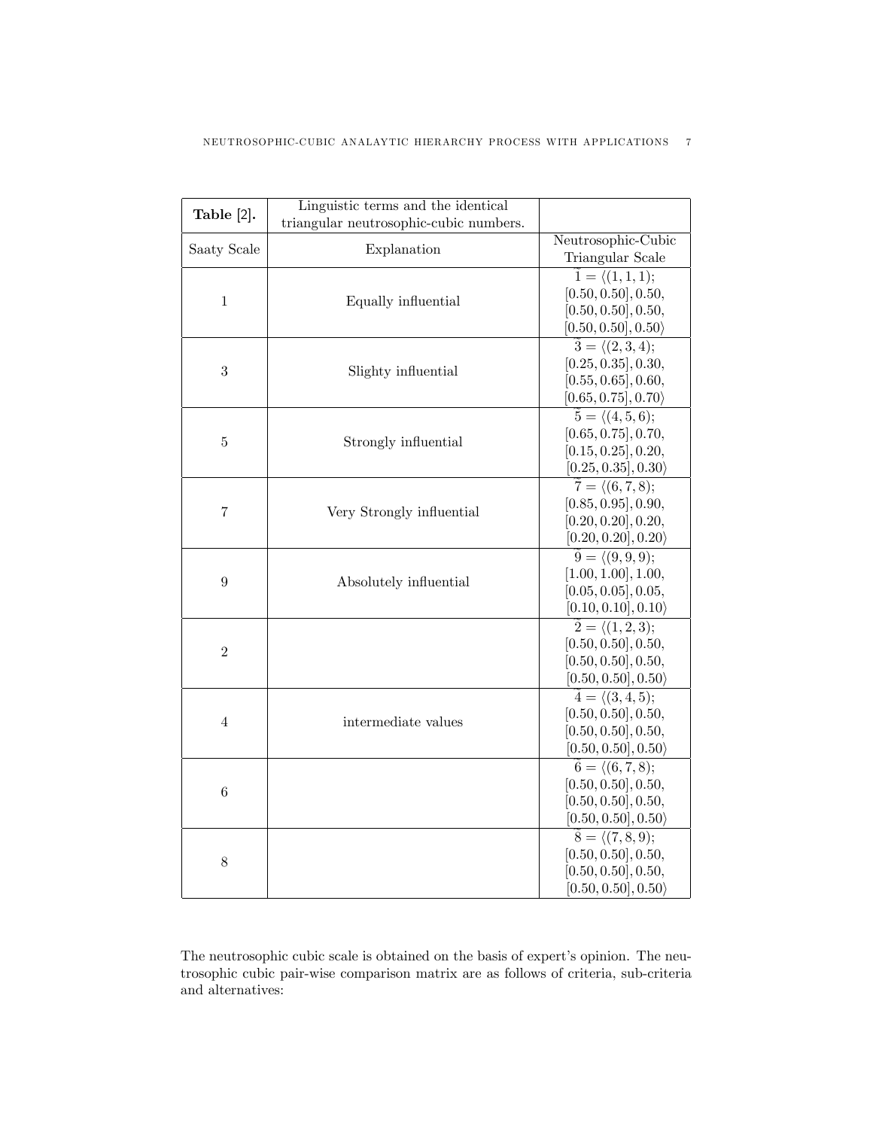| Table [2].     | Linguistic terms and the identical     |                                      |
|----------------|----------------------------------------|--------------------------------------|
|                | triangular neutrosophic-cubic numbers. |                                      |
| Saaty Scale    | Explanation                            | Neutrosophic-Cubic                   |
|                |                                        | Triangular Scale                     |
|                |                                        | $\tilde{1} = \langle (1,1,1);$       |
| $\mathbf{1}$   | Equally influential                    | [0.50, 0.50], 0.50,                  |
|                |                                        | [0.50, 0.50], 0.50,                  |
|                |                                        | $[0.50, 0.50], 0.50\rangle$          |
|                |                                        | $\widetilde{3} = \langle (2,3,4);$   |
| 3              | Slighty influential                    | [0.25, 0.35], 0.30,                  |
|                |                                        | [0.55, 0.65], 0.60,                  |
|                |                                        | [0.65, 0.75], 0.70                   |
|                |                                        | $\widetilde{5} = \langle (4,5,6);$   |
| 5              | Strongly influential                   | [0.65, 0.75], 0.70,                  |
|                |                                        | [0.15, 0.25], 0.20,                  |
|                |                                        | [0.25, 0.35], 0.30                   |
|                |                                        | $\widetilde{7} = \langle (6, 7, 8);$ |
| $\!\!7$        | Very Strongly influential              | [0.85, 0.95], 0.90,                  |
|                |                                        | [0.20, 0.20], 0.20,                  |
|                |                                        | $[0.20, 0.20], 0.20\rangle$          |
|                | Absolutely influential                 | $\widetilde{9} = \langle (9,9,9);$   |
| 9              |                                        | [1.00, 1.00], 1.00,                  |
|                |                                        | [0.05, 0.05], 0.05,                  |
|                |                                        | $[0.10, 0.10], 0.10\rangle$          |
|                |                                        | $\widetilde{2} = \langle (1, 2, 3);$ |
| $\overline{2}$ |                                        | [0.50, 0.50], 0.50,                  |
|                |                                        | [0.50, 0.50], 0.50,                  |
|                |                                        | $[0.50, 0.50], 0.50\rangle$          |
|                |                                        | $\widetilde{4} = \langle (3,4,5);$   |
| $\overline{4}$ | intermediate values                    | [0.50, 0.50], 0.50,                  |
|                |                                        | [0.50, 0.50], 0.50,                  |
|                |                                        | $[0.50, 0.50], 0.50\rangle$          |
|                |                                        | $\widetilde{6} = \langle (6,7,8);$   |
| 6              |                                        | [0.50, 0.50], 0.50,                  |
|                |                                        | [0.50, 0.50], 0.50,                  |
|                |                                        | $[0.50, 0.50], 0.50\rangle$          |
|                |                                        | $\widetilde{8} = \langle (7,8,9);$   |
| 8              |                                        | [0.50, 0.50], 0.50,                  |
|                |                                        | [0.50, 0.50], 0.50,                  |
|                |                                        | $[0.50, 0.50], 0.50\rangle$          |

The neutrosophic cubic scale is obtained on the basis of expert's opinion. The neutrosophic cubic pair-wise comparison matrix are as follows of criteria, sub-criteria and alternatives: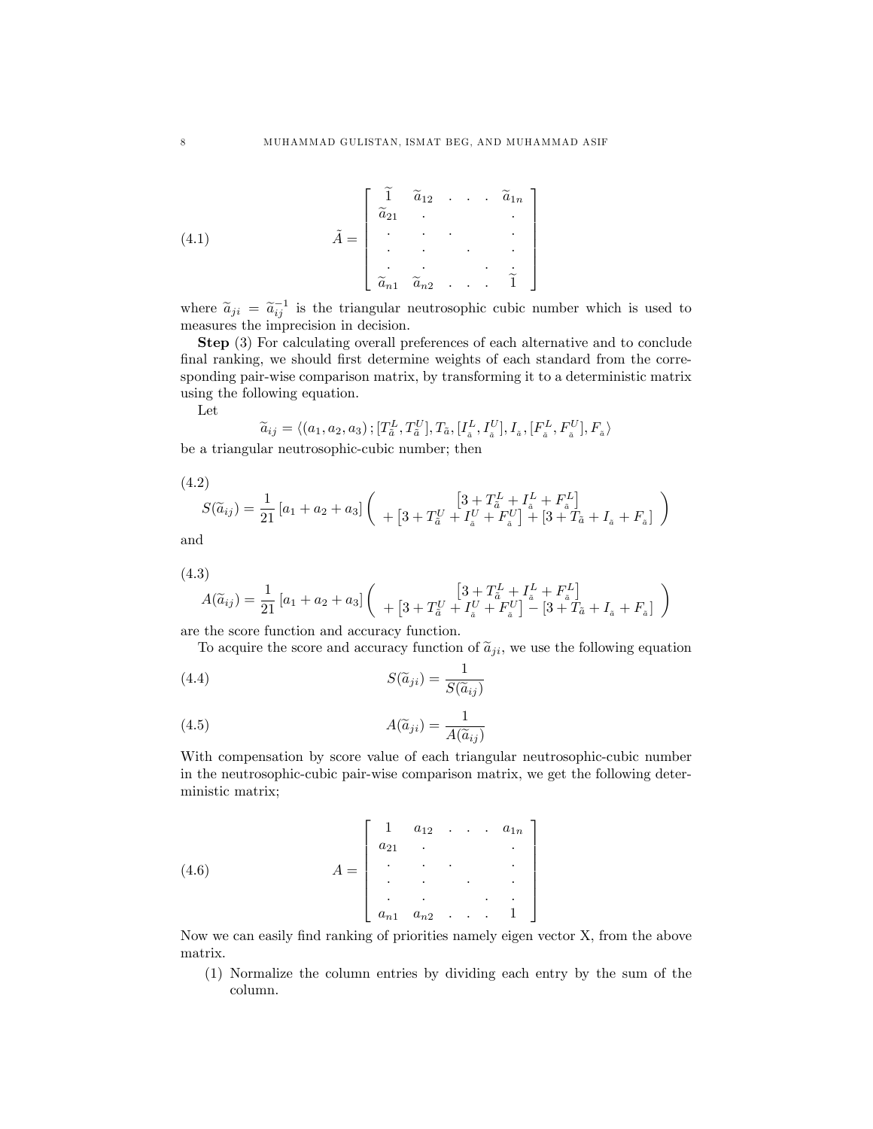(4.1) 
$$
\tilde{A} = \begin{bmatrix} \tilde{1} & \tilde{a}_{12} & \cdots & \tilde{a}_{1n} \\ \tilde{a}_{21} & \cdots & \cdots & \cdots \\ \vdots & \vdots & \ddots & \vdots \\ \tilde{a}_{n1} & \tilde{a}_{n2} & \cdots & \tilde{1} \end{bmatrix}
$$

where  $\tilde{a}_{ji} = \tilde{a}_{ij}^{-1}$  is the triangular neutrosophic cubic number which is used to measures the imprecision in decision.

Step (3) For calculating overall preferences of each alternative and to conclude final ranking, we should first determine weights of each standard from the corresponding pair-wise comparison matrix, by transforming it to a deterministic matrix using the following equation.

Let

$$
\widetilde{a}_{ij} = \langle (a_1, a_2, a_3), [T_a^L, T_a^U], T_{\tilde{a}}, [I_a^L, I_a^U], I_{\tilde{a}}, [F_a^L, F_{\tilde{a}}^U], F_{\tilde{a}} \rangle
$$

be a triangular neutrosophic-cubic number; then

$$
(4.2)
$$

$$
S(\tilde{a}_{ij}) = \frac{1}{21} [a_1 + a_2 + a_3] \left( \begin{array}{c} \left[3 + T_{\tilde{a}}^L + I_{\tilde{a}}^L + F_{\tilde{a}}^L \right] \\ + \left[3 + T_{\tilde{a}}^U + I_{\tilde{a}}^U + F_{\tilde{a}}^U \right] + \left[3 + T_{\tilde{a}} + I_{\tilde{a}} + F_{\tilde{a}} \right] \end{array} \right)
$$

and

$$
(4.3)
$$

$$
A(\widetilde{a}_{ij}) = \frac{1}{21} [a_1 + a_2 + a_3] \left( \begin{array}{c} \left[3 + T_{\tilde{a}}^L + I_{\tilde{a}}^L + F_{\tilde{a}}^L \right] \\ + \left[3 + T_{\tilde{a}}^U + I_{\tilde{a}}^U + F_{\tilde{a}}^U \right] - \left[3 + T_{\tilde{a}} + I_{\tilde{a}} + F_{\tilde{a}} \right] \end{array} \right)
$$

are the score function and accuracy function.

To acquire the score and accuracy function of  $\tilde{a}_{ji}$ , we use the following equation

(4.4) 
$$
S(\tilde{a}_{ji}) = \frac{1}{S(\tilde{a}_{ij})}
$$

(4.5) 
$$
A(\widetilde{a}_{ji}) = \frac{1}{A(\widetilde{a}_{ij})}
$$

With compensation by score value of each triangular neutrosophic-cubic number in the neutrosophic-cubic pair-wise comparison matrix, we get the following deterministic matrix;

(4.6) 
$$
A = \begin{bmatrix} 1 & a_{12} & \cdots & a_{1n} \\ a_{21} & \cdots & \cdots & \cdots \\ \vdots & \vdots & \ddots & \vdots \\ a_{n1} & a_{n2} & \cdots & 1 \end{bmatrix}
$$

Now we can easily find ranking of priorities namely eigen vector X, from the above matrix.

(1) Normalize the column entries by dividing each entry by the sum of the column.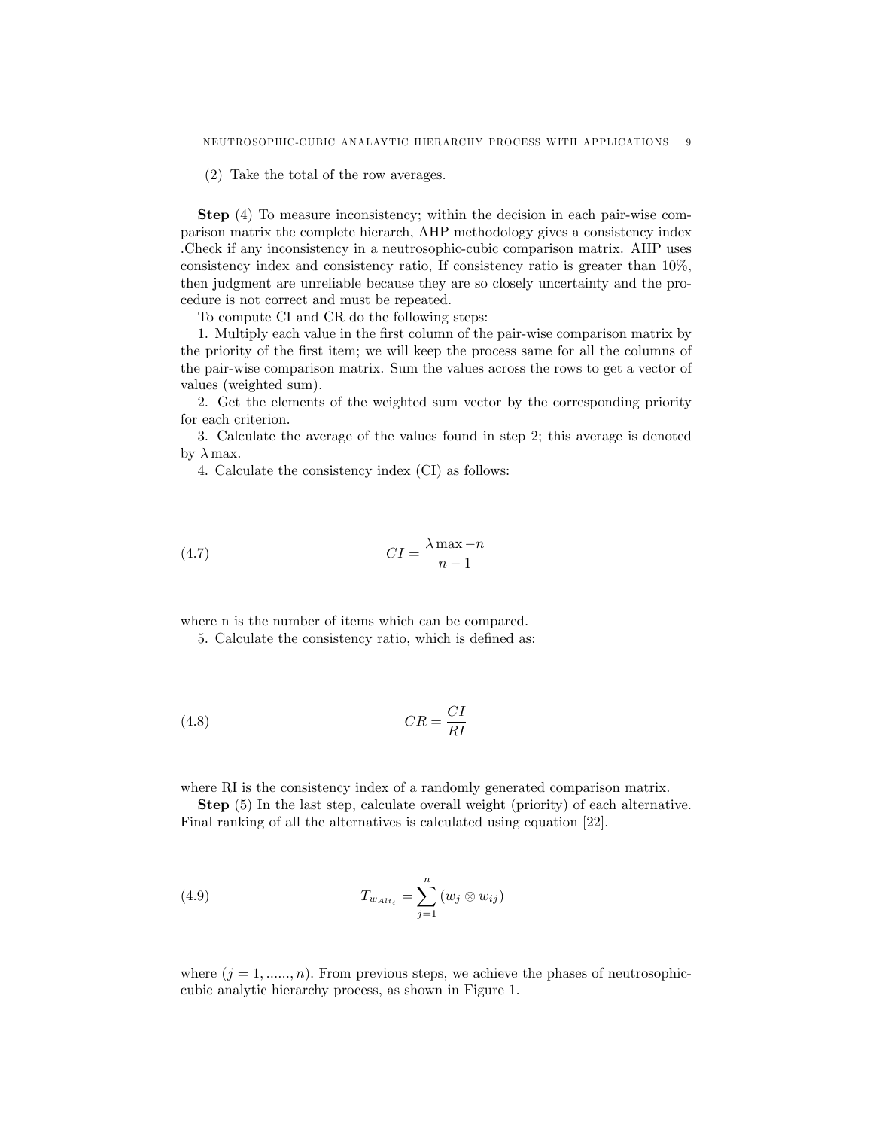(2) Take the total of the row averages.

Step (4) To measure inconsistency; within the decision in each pair-wise comparison matrix the complete hierarch, AHP methodology gives a consistency index .Check if any inconsistency in a neutrosophic-cubic comparison matrix. AHP uses consistency index and consistency ratio, If consistency ratio is greater than 10%, then judgment are unreliable because they are so closely uncertainty and the procedure is not correct and must be repeated.

To compute CI and CR do the following steps:

1. Multiply each value in the Örst column of the pair-wise comparison matrix by the priority of the first item; we will keep the process same for all the columns of the pair-wise comparison matrix. Sum the values across the rows to get a vector of values (weighted sum).

2. Get the elements of the weighted sum vector by the corresponding priority for each criterion.

3. Calculate the average of the values found in step 2; this average is denoted by  $\lambda$  max.

4. Calculate the consistency index (CI) as follows:

$$
(4.7) \t\t\t CI = \frac{\lambda \max - n}{n - 1}
$$

where n is the number of items which can be compared.

5. Calculate the consistency ratio, which is defined as:

$$
(4.8)\t\t\t CR = \frac{CI}{RI}
$$

where RI is the consistency index of a randomly generated comparison matrix.

Step (5) In the last step, calculate overall weight (priority) of each alternative. Final ranking of all the alternatives is calculated using equation [22].

(4.9) 
$$
T_{w_{Alt_i}} = \sum_{j=1}^{n} (w_j \otimes w_{ij})
$$

where  $(j = 1, \ldots, n)$ . From previous steps, we achieve the phases of neutrosophiccubic analytic hierarchy process, as shown in Figure 1.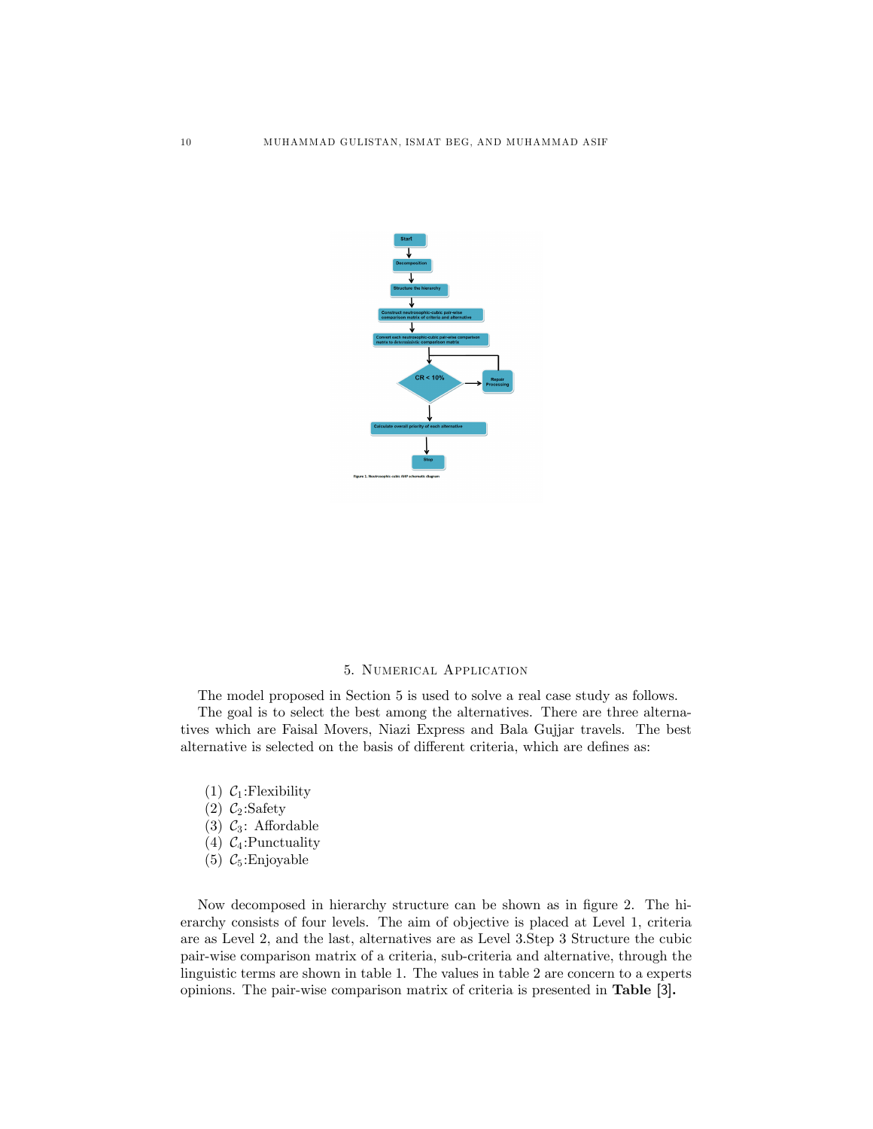

#### 5. Numerical Application

The model proposed in Section 5 is used to solve a real case study as follows. The goal is to select the best among the alternatives. There are three alternatives which are Faisal Movers, Niazi Express and Bala Gujjar travels. The best alternative is selected on the basis of different criteria, which are defines as:

- (1)  $C_1$ : Flexibility
- (2)  $C_2$ : Safety
- (3)  $C_3$ : Affordable
- (4)  $C_4$ : Punctuality
- (5)  $C_5$ : Enjoyable

Now decomposed in hierarchy structure can be shown as in figure 2. The hierarchy consists of four levels. The aim of objective is placed at Level 1, criteria are as Level 2, and the last, alternatives are as Level 3.Step 3 Structure the cubic pair-wise comparison matrix of a criteria, sub-criteria and alternative, through the linguistic terms are shown in table 1. The values in table 2 are concern to a experts opinions. The pair-wise comparison matrix of criteria is presented in Table [3].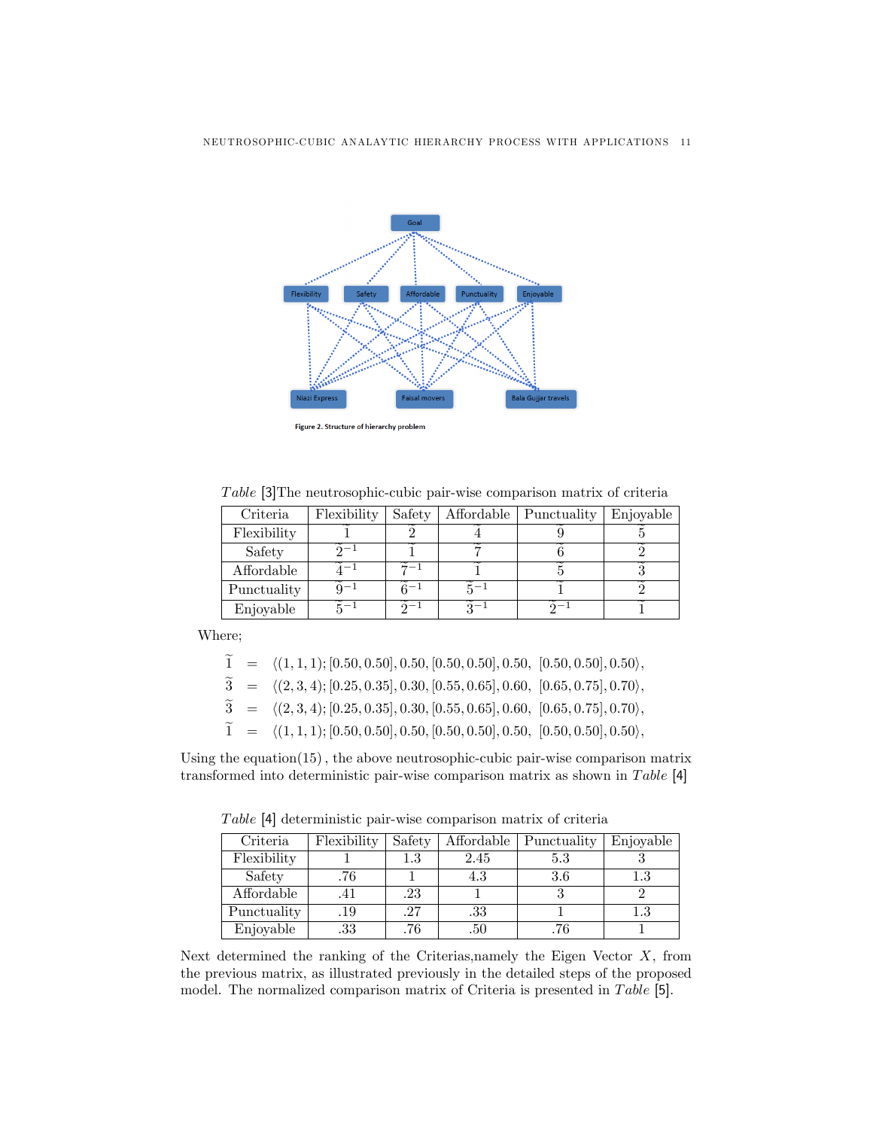

Figure 2. Structure of hierarchy problem

Table [3] The neutrosophic-cubic pair-wise comparison matrix of criteria

| Criteria    | Flexibility | Safety | Affordable   Punctuality | Enjoyable |
|-------------|-------------|--------|--------------------------|-----------|
| Flexibility |             |        |                          |           |
| Safety      |             |        |                          |           |
| Affordable  |             |        |                          |           |
| Punctuality |             | $c-1$  |                          |           |
| Enjoyable   |             |        |                          |           |

Where;

|  | $\widetilde{1} = \langle (1,1,1); [0.50, 0.50], 0.50, [0.50, 0.50], 0.50, [0.50, 0.50], 0.50 \rangle,$ |  |
|--|--------------------------------------------------------------------------------------------------------|--|
|  | $\widetilde{3} = \langle (2,3,4); [0.25, 0.35], 0.30, [0.55, 0.65], 0.60, [0.65, 0.75], 0.70 \rangle,$ |  |
|  | $\widetilde{3} = \langle (2,3,4); [0.25, 0.35], 0.30, [0.55, 0.65], 0.60, [0.65, 0.75], 0.70 \rangle,$ |  |
|  | $\widetilde{1} = \langle (1,1,1); [0.50, 0.50], 0.50, [0.50, 0.50], 0.50, [0.50, 0.50], 0.50 \rangle,$ |  |

Using the equation $(15)$ , the above neutrosophic-cubic pair-wise comparison matrix transformed into deterministic pair-wise comparison matrix as shown in  $Table [4]$ 

Table [4] deterministic pair-wise comparison matrix of criteria

| Criteria    | Flexibility | Safety | Affordable | Punctuality | Enjoyable |
|-------------|-------------|--------|------------|-------------|-----------|
| Flexibility |             | 1.3    | 2.45       | 5.3         |           |
| Safety      | .76         |        | 4.3        | 3.6         | $1.3\,$   |
| Affordable  | .41         | .23    |            |             |           |
| Punctuality | .19         | .27    | .33        |             | $1.3\,$   |
| Enjoyable   | $.33\,$     | .76    | .50        | .76         |           |

Next determined the ranking of the Criterias,namely the Eigen Vector  $X$ , from the previous matrix, as illustrated previously in the detailed steps of the proposed model. The normalized comparison matrix of Criteria is presented in  $Table [5]$ .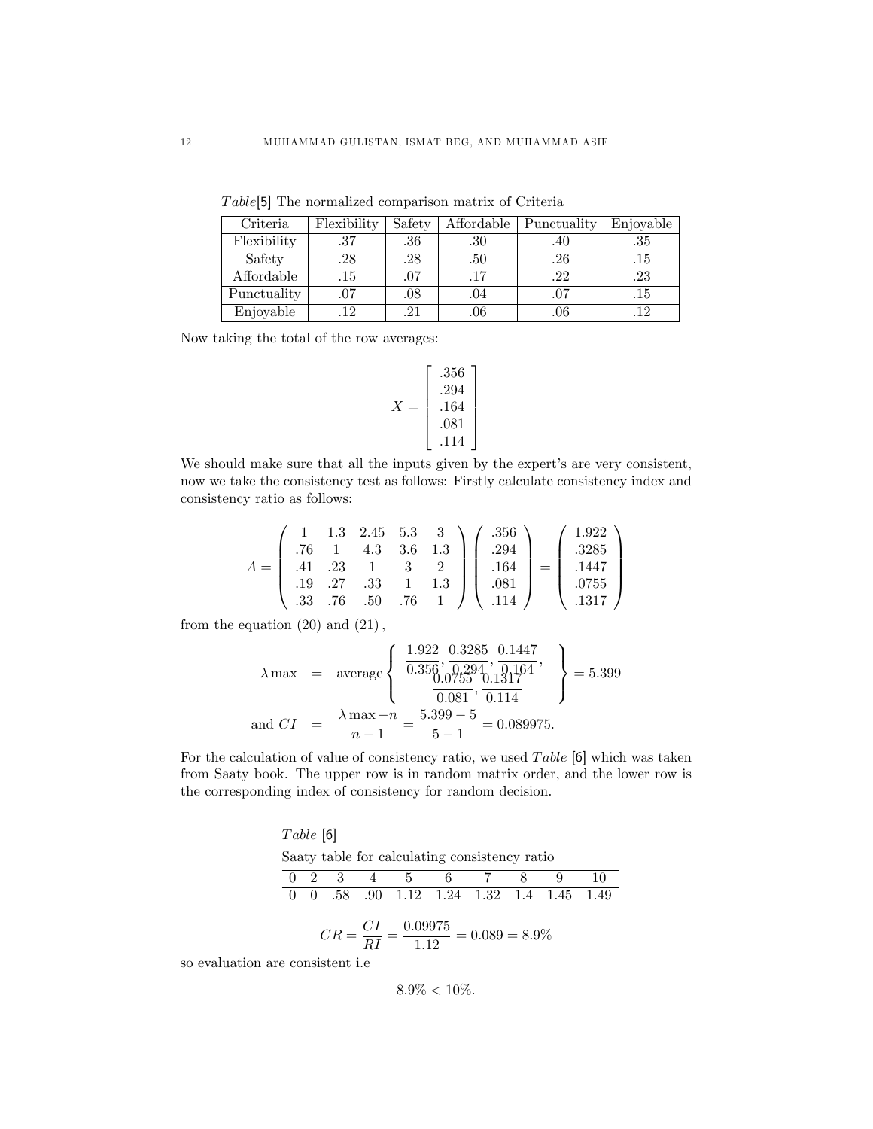| Criteria    | Flexibility | Safety | Affordable | Punctuality | Enjoyable |
|-------------|-------------|--------|------------|-------------|-----------|
| Flexibility | .37         | .36    | .30        | .4U         | .35       |
| Safety      | .28         | .28    | .50        | $.26\,$     | .15       |
| Affordable  | .15         | .07    | .17        | .22         | .23       |
| Punctuality | .07         | .08    | .04        | .07         | .15       |
| Enjoyable   | 19          | .21    | .06        | .06         | .12       |

 $Table[5]$  The normalized comparison matrix of Criteria

Now taking the total of the row averages:

$$
X = \begin{bmatrix} .356 \\ .294 \\ .164 \\ .081 \\ .114 \end{bmatrix}
$$

We should make sure that all the inputs given by the expert's are very consistent, now we take the consistency test as follows: Firstly calculate consistency index and consistency ratio as follows:

$$
A = \begin{pmatrix} 1 & 1.3 & 2.45 & 5.3 & 3 \\ .76 & 1 & 4.3 & 3.6 & 1.3 \\ .41 & .23 & 1 & 3 & 2 \\ .19 & .27 & .33 & 1 & 1.3 \\ .33 & .76 & .50 & .76 & 1 \end{pmatrix} \begin{pmatrix} .356 \\ .294 \\ .164 \\ .081 \\ .114 \end{pmatrix} = \begin{pmatrix} 1.922 \\ .3285 \\ .1447 \\ .0755 \\ .1317 \end{pmatrix}
$$

from the equation  $(20)$  and  $(21)$ ,

$$
\lambda \max = \text{average} \left\{ \begin{array}{l} \frac{1.922}{0.356}, \frac{0.3285}{0.294}, \frac{0.1447}{0.147}, \\ \frac{0.0755}{0.081}, \frac{0.1317}{0.114} \end{array} \right\} = 5.399
$$
\n
$$
\text{and } CI = \frac{\lambda \max - n}{n - 1} = \frac{5.399 - 5}{5 - 1} = 0.089975.
$$

For the calculation of value of consistency ratio, we used  $Table$  [6] which was taken from Saaty book. The upper row is in random matrix order, and the lower row is the corresponding index of consistency for random decision.

 $Table [6]$ Saaty table for calculating consistency ratio

|  |               |           | 0 2 3 4 5 6 7 8 9 10                     |  |  |
|--|---------------|-----------|------------------------------------------|--|--|
|  |               |           | 0 0 .58 .90 1.12 1.24 1.32 1.4 1.45 1.49 |  |  |
|  | $\sim$ $\sim$ | $0.000 -$ |                                          |  |  |

$$
CR = \frac{CI}{RI} = \frac{0.09975}{1.12} = 0.089 = 8.9\%
$$

so evaluation are consistent i.e

 $8.9\% < 10\%.$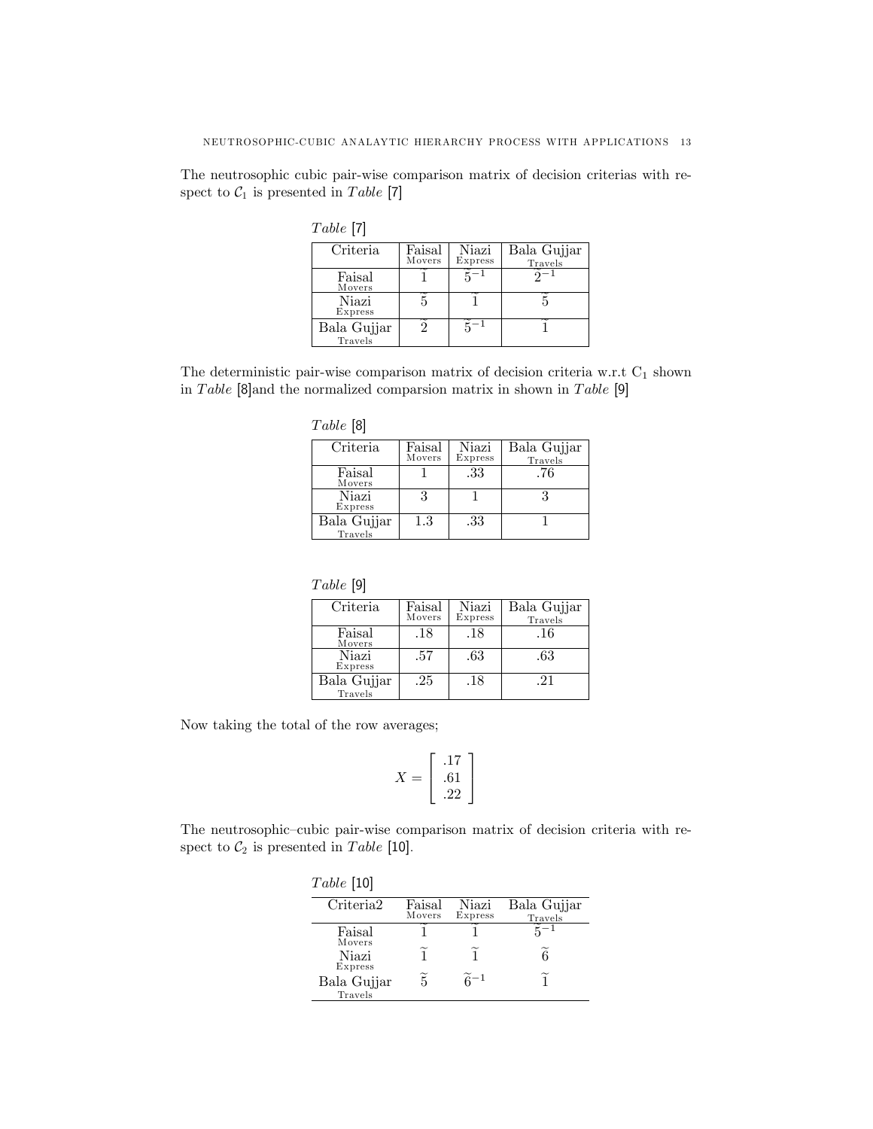The neutrosophic cubic pair-wise comparison matrix of decision criterias with respect to  $C_1$  is presented in Table [7]

| $_{ADE}$ |  |
|----------|--|
|----------|--|

| Criteria    | Faisal | Niazi   | Bala Gujjar |
|-------------|--------|---------|-------------|
|             | Movers | Express | Travels     |
| Faisal      |        |         |             |
| Movers      |        |         |             |
| Niazi       |        |         |             |
| Express     |        |         |             |
| Bala Gujjar |        |         |             |
| Travels     |        |         |             |

The deterministic pair-wise comparison matrix of decision criteria w.r.t  $C_1$  shown in Table  $[8]$ and the normalized comparsion matrix in shown in Table  $[9]$ 

| Criteria    | Faisal  | Niazi   | Bala Gujjar |
|-------------|---------|---------|-------------|
|             | Movers  | Express | Travels     |
| Faisal      |         | .33     | .76         |
| Movers      |         |         |             |
| Niazi       | 3       |         |             |
| Express     |         |         |             |
| Bala Gujjar | $1.3\,$ | .33     |             |
| Travels     |         |         |             |

| н<br>7 L |  |
|----------|--|
|          |  |

| Criteria    | Faisal<br>Movers | Niazi<br>Express | Bala Gujjar |
|-------------|------------------|------------------|-------------|
|             |                  |                  | Travels     |
| Faisal      | .18              | .18              | .16         |
| Movers      |                  |                  |             |
| Niazi       | .57              | .63              | .63         |
| Express     |                  |                  |             |
| Bala Gujjar | .25              | .18              | -21         |
| Travels     |                  |                  |             |

Now taking the total of the row averages;

$$
X = \begin{bmatrix} .17 \\ .61 \\ .22 \end{bmatrix}
$$

The neutrosophic-cubic pair-wise comparison matrix of decision criteria with respect to  $C_2$  is presented in Table [10].

| Table [10]                 |                  |                          |                        |
|----------------------------|------------------|--------------------------|------------------------|
| Criteria2                  | Faisal<br>Movers | Niazi<br>Express         | Bala Gujjar<br>Travels |
| Faisal                     |                  |                          |                        |
| Movers<br>Niazi<br>Express | 1                |                          | R                      |
| Bala Gujjar<br>Travels     | $\widetilde{5}$  | $\widetilde{\kappa} - 1$ |                        |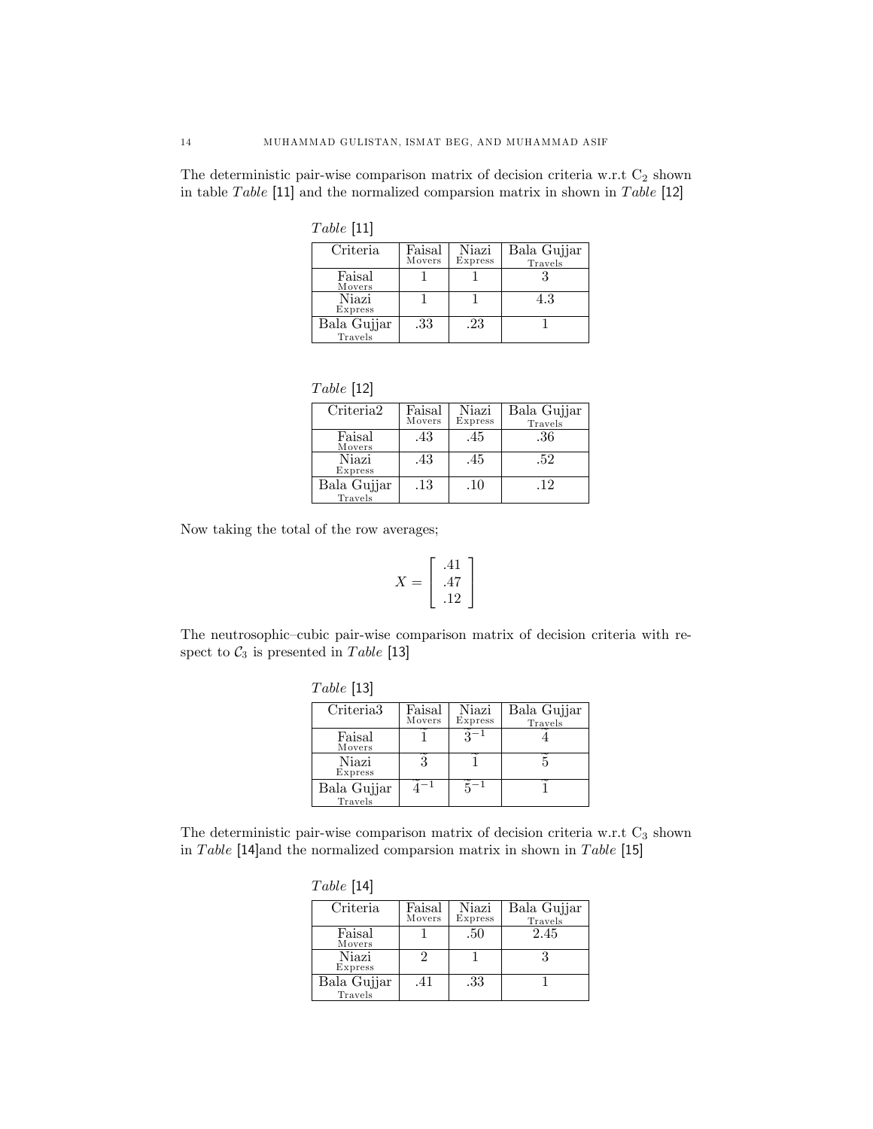The deterministic pair-wise comparison matrix of decision criteria w.r.t  $C_2$  shown in table Table  $[11]$  and the normalized comparsion matrix in shown in Table  $[12]$ 

| abl.e | 1<br>l |
|-------|--------|
|-------|--------|

| Faisal<br>Movers | Niazi<br>Express | Bala Gujjar<br>Travels |
|------------------|------------------|------------------------|
|                  |                  |                        |
|                  |                  | 4.3                    |
| .33              | .23              |                        |
|                  |                  |                        |

| Table | 121 |
|-------|-----|
|-------|-----|

| Criteria <sub>2</sub> | Faisal<br>Movers | Niazi<br>Express | Bala Gujjar<br>Travels |
|-----------------------|------------------|------------------|------------------------|
| Faisal<br>Movers      | .43              | .45              | .36                    |
| Niazi<br>Express      | .43              | .45              | .52                    |
| Bala Gujjar           | .13              | $.10\,$          | .12                    |
| Travels               |                  |                  |                        |

Now taking the total of the row averages;

$$
X = \left[ \begin{array}{c} .41 \\ .47 \\ .12 \end{array} \right]
$$

The neutrosophic-cubic pair-wise comparison matrix of decision criteria with respect to  $C_3$  is presented in Table [13]

| Table~[13] |  |
|------------|--|
|------------|--|

| Criteria <sub>3</sub>  | Faisal<br>Movers | Niazi<br>Express | Bala Gujjar<br>Travels |
|------------------------|------------------|------------------|------------------------|
| Faisal<br>Movers       |                  |                  |                        |
| Niazi<br>Express       |                  |                  |                        |
| Bala Gujjar<br>Travels |                  |                  |                        |

The deterministic pair-wise comparison matrix of decision criteria w.r.t  $C_3$  shown in Table  $[14]$ and the normalized comparsion matrix in shown in Table  $[15]$ 

| Table [14]             |                  |                  |                        |
|------------------------|------------------|------------------|------------------------|
| Criteria               | Faisal<br>Movers | Niazi<br>Express | Bala Gujjar<br>Travels |
| Faisal<br>Movers       |                  | .50              | 2.45                   |
| Niazi<br>Express       | 2                |                  |                        |
| Bala Gujjar<br>Travels | .41              | .33              |                        |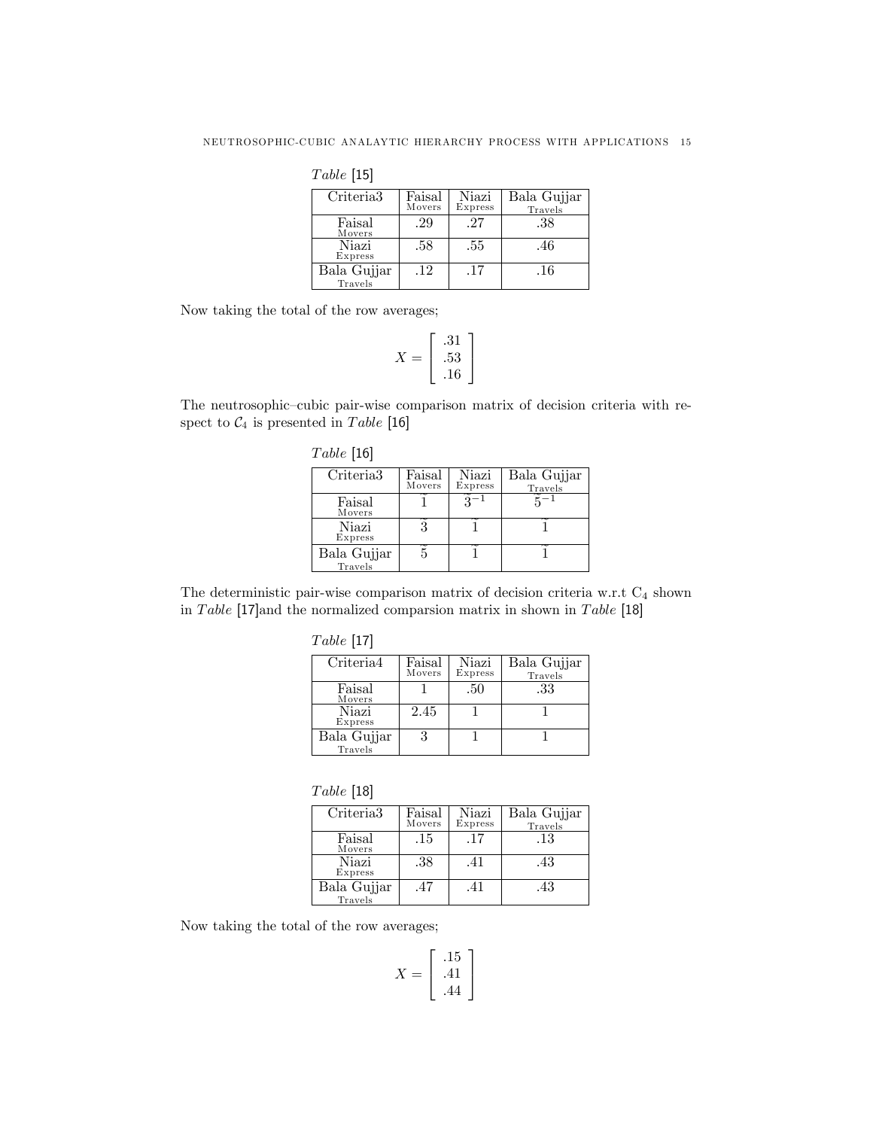$Table [15]$ 

| Criteria <sub>3</sub>  | Faisal<br>Movers | Niazi<br>Express | Bala Gujjar<br>Travels |
|------------------------|------------------|------------------|------------------------|
| Faisal<br>Movers       | .29              | .27              | .38                    |
| Niazi<br>Express       | .58              | .55              | .46                    |
| Bala Gujjar<br>Travels | .12              | .17              | .16                    |

Now taking the total of the row averages;

$$
X = \begin{bmatrix} .31 \\ .53 \\ .16 \end{bmatrix}
$$

The neutrosophic-cubic pair-wise comparison matrix of decision criteria with respect to  $C_4$  is presented in Table [16]

| Criteria <sub>3</sub>  | Faisal<br>Movers | Niazi<br>Express | Bala Gujjar<br>Travels |
|------------------------|------------------|------------------|------------------------|
| Faisal<br>Movers       |                  |                  |                        |
| Niazi<br>Express       |                  |                  |                        |
| Bala Gujjar<br>Travels |                  |                  |                        |

The deterministic pair-wise comparison matrix of decision criteria w.r.t  $C_4$  shown in Table [17] and the normalized comparsion matrix in shown in Table [18]

| abc |  |
|-----|--|
|-----|--|

| Criteria4              | Faisal<br>Movers | Niazi<br>Express | Bala Gujjar<br>Travels |
|------------------------|------------------|------------------|------------------------|
| Faisal<br>Movers       |                  | .50              | .33                    |
| Niazi<br>Express       | 2.45             |                  |                        |
| Bala Gujjar<br>Travels |                  |                  |                        |

| Table | $[18]$ |
|-------|--------|
|-------|--------|

| Criteria <sub>3</sub> | Faisal<br>Movers | Niazi<br>Express | Bala Gujjar<br>Travels |
|-----------------------|------------------|------------------|------------------------|
| Faisal<br>Movers      | .15              | .17              | .13                    |
| Niazi<br>Express      | .38              | .41              | .43                    |
| Bala Gujjar           | .47              | .41              | .43                    |
| Travels               |                  |                  |                        |

Now taking the total of the row averages;

$$
X = \left[ \begin{array}{c} .15 \\ .41 \\ .44 \end{array} \right]
$$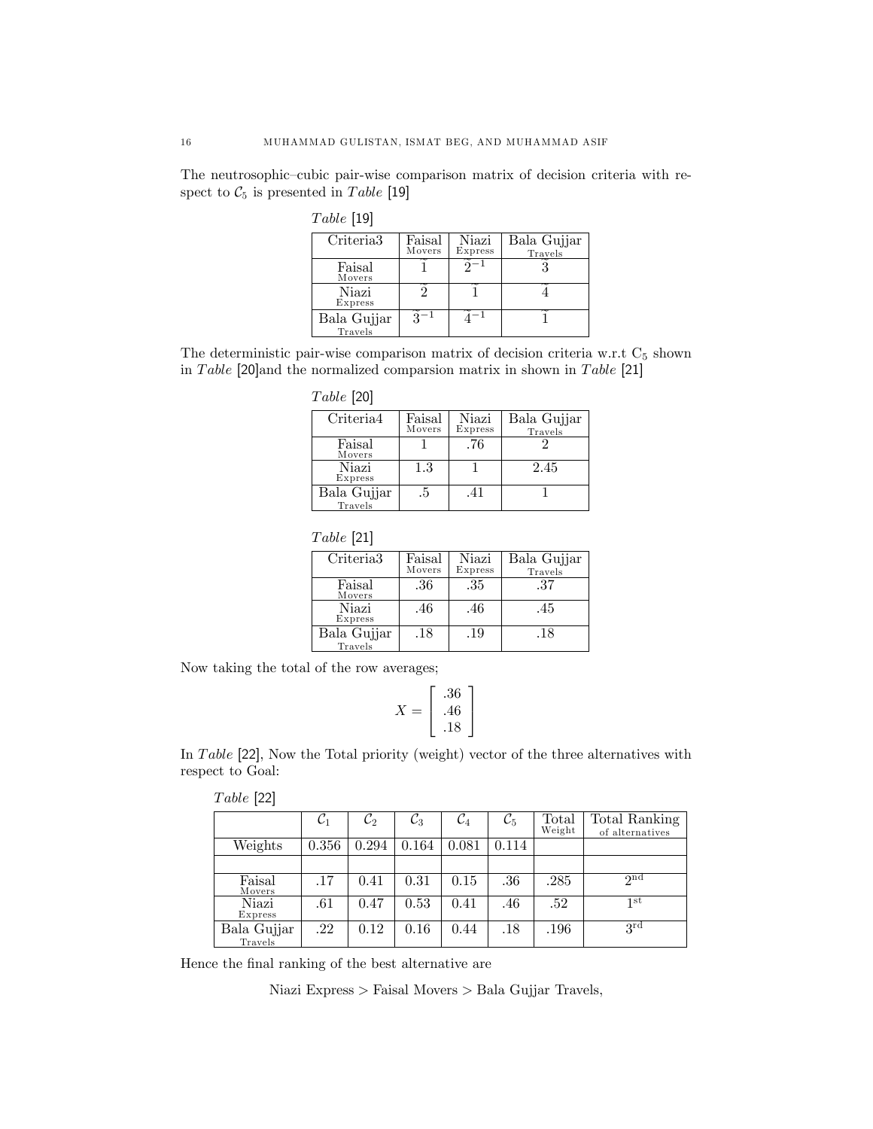The neutrosophic-cubic pair-wise comparison matrix of decision criteria with respect to  $C_5$  is presented in Table [19]

| Criteria <sub>3</sub> | Faisal<br>Movers | Niazi   | Bala Gujjar |
|-----------------------|------------------|---------|-------------|
|                       |                  | Express | Travels     |
| Faisal                |                  |         |             |
| Movers                |                  |         |             |
| Niazi                 |                  |         |             |
| Express               |                  |         |             |
| Bala Gujjar           |                  |         |             |
| Travels               |                  |         |             |

The deterministic pair-wise comparison matrix of decision criteria w.r.t  $C_5$  shown in Table [20] and the normalized comparsion matrix in shown in Table [21]

| Table~[20] |  |
|------------|--|
|------------|--|

| Criteria4   | Faisal | Niazi   | Bala Gujjar |
|-------------|--------|---------|-------------|
|             | Movers | Express | Travels     |
| Faisal      |        | .76     |             |
| Movers      |        |         |             |
| Niazi       | 1.3    |         | 2.45        |
| Express     |        |         |             |
| Bala Gujjar | .5     | .41     |             |
| Travels     |        |         |             |

| Table | $[21]$ |
|-------|--------|
|-------|--------|

| Criteria <sub>3</sub> | Faisal | Niazi   | Bala Gujjar |
|-----------------------|--------|---------|-------------|
|                       | Movers | Express | Travels     |
| Faisal                | .36    | .35     | .37         |
| Movers                |        |         |             |
| Niazi                 | .46    | .46     | .45         |
| Express               |        |         |             |
| Bala Gujjar           | .18    | .19     | .18         |
| Travels               |        |         |             |

Now taking the total of the row averages;

$$
X = \left[ \begin{array}{c} .36 \\ .46 \\ .18 \end{array} \right]
$$

In Table  $[22]$ , Now the Total priority (weight) vector of the three alternatives with respect to Goal:

| a.ni.e | ı |
|--------|---|
|        |   |

|                        | $\mathcal{C}_1$ | $\mathcal{C}_2$ | $\mathcal{C}_3$ | $\mathcal{C}_4$ | $\mathcal{C}_5$ | Total<br>Weight | Total Ranking<br>of alternatives |
|------------------------|-----------------|-----------------|-----------------|-----------------|-----------------|-----------------|----------------------------------|
| Weights                | 0.356           | 0.294           | 0.164           | 0.081           | 0.114           |                 |                                  |
|                        |                 |                 |                 |                 |                 |                 |                                  |
| Faisal<br>Movers       | .17             | 0.41            | 0.31            | 0.15            | .36             | .285            | 2 <sub>nd</sub>                  |
| Niazi<br>Express       | .61             | 0.47            | 0.53            | 0.41            | .46             | .52             | 1st                              |
| Bala Gujjar<br>Travels | $.22\,$         | 0.12            | 0.16            | 0.44            | .18             | .196            | 3 <sup>rd</sup>                  |

Hence the final ranking of the best alternative are

Niazi Express > Faisal Movers > Bala Gujjar Travels;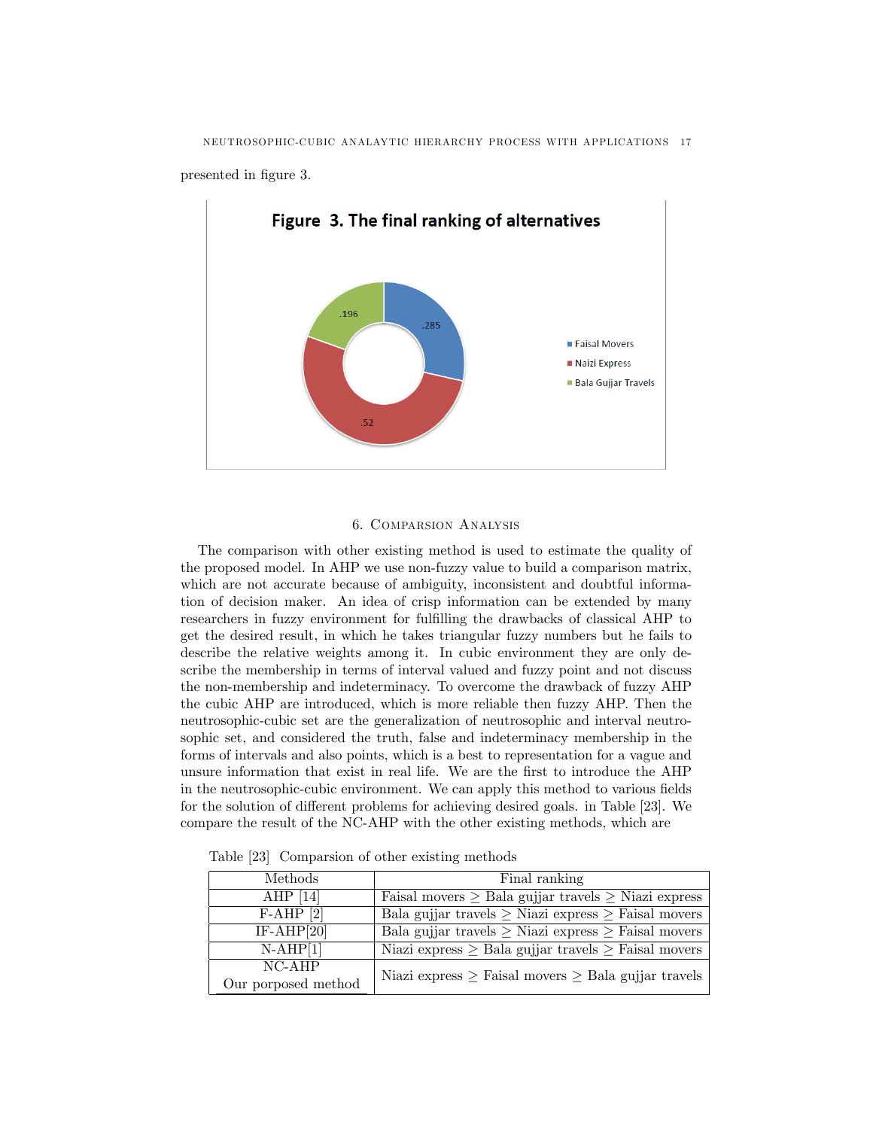NEUTROSOPHIC-CUBIC ANALAYTIC HIERARCHY PROCESS WITH APPLICATIONS 17

presented in figure 3.



## 6. Comparsion Analysis

The comparison with other existing method is used to estimate the quality of the proposed model. In AHP we use non-fuzzy value to build a comparison matrix, which are not accurate because of ambiguity, inconsistent and doubtful information of decision maker. An idea of crisp information can be extended by many researchers in fuzzy environment for fulfilling the drawbacks of classical AHP to get the desired result, in which he takes triangular fuzzy numbers but he fails to describe the relative weights among it. In cubic environment they are only describe the membership in terms of interval valued and fuzzy point and not discuss the non-membership and indeterminacy. To overcome the drawback of fuzzy AHP the cubic AHP are introduced, which is more reliable then fuzzy AHP. Then the neutrosophic-cubic set are the generalization of neutrosophic and interval neutrosophic set, and considered the truth, false and indeterminacy membership in the forms of intervals and also points, which is a best to representation for a vague and unsure information that exist in real life. We are the first to introduce the AHP in the neutrosophic-cubic environment. We can apply this method to various fields for the solution of different problems for achieving desired goals. in Table [23]. We compare the result of the NC-AHP with the other existing methods, which are

| Methods             | Final ranking                                                 |  |  |  |
|---------------------|---------------------------------------------------------------|--|--|--|
| AHP $[14]$          | Faisal movers $\geq$ Bala gujjar travels $\geq$ Niazi express |  |  |  |
| $F-AHP$ [2]         | Bala gujjar travels $\geq$ Niazi express $\geq$ Faisal movers |  |  |  |
| $IF-AHP[20]$        | Bala gujjar travels $\geq$ Niazi express $\geq$ Faisal movers |  |  |  |
| $N-{\rm AHP}[1]$    | Niazi express $\geq$ Bala gujjar travels $\geq$ Faisal movers |  |  |  |
| $NC-$ AHP           | Niazi express $\geq$ Faisal movers $\geq$ Bala gujjar travels |  |  |  |
| Our porposed method |                                                               |  |  |  |

Table [23] Comparsion of other existing methods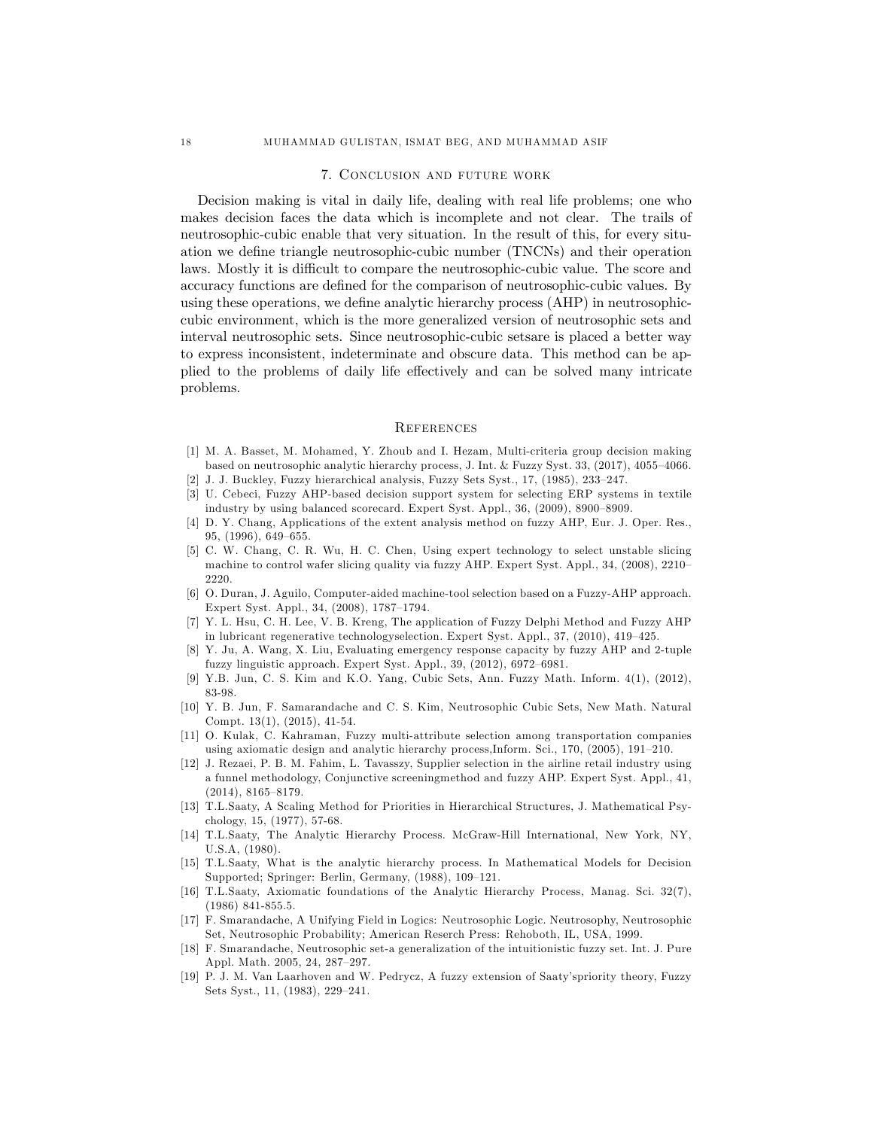#### 7. Conclusion and future work

Decision making is vital in daily life, dealing with real life problems; one who makes decision faces the data which is incomplete and not clear. The trails of neutrosophic-cubic enable that very situation. In the result of this, for every situation we define triangle neutrosophic-cubic number (TNCNs) and their operation laws. Mostly it is difficult to compare the neutrosophic-cubic value. The score and accuracy functions are defined for the comparison of neutrosophic-cubic values. By using these operations, we define analytic hierarchy process (AHP) in neutrosophiccubic environment, which is the more generalized version of neutrosophic sets and interval neutrosophic sets. Since neutrosophic-cubic setsare is placed a better way to express inconsistent, indeterminate and obscure data. This method can be applied to the problems of daily life effectively and can be solved many intricate problems.

#### **REFERENCES**

- [1] M. A. Basset, M. Mohamed, Y. Zhoub and I. Hezam, Multi-criteria group decision making based on neutrosophic analytic hierarchy process, J. Int. & Fuzzy Syst.  $33$ ,  $(2017)$ ,  $4055-4066$ .
- $[2]$  J. J. Buckley, Fuzzy hierarchical analysis, Fuzzy Sets Syst., 17, (1985), 233-247.
- [3] U. Cebeci, Fuzzy AHP-based decision support system for selecting ERP systems in textile industry by using balanced scorecard. Expert Syst. Appl.,  $36$ ,  $(2009)$ ,  $8900-8909$ .
- [4] D. Y. Chang, Applications of the extent analysis method on fuzzy AHP, Eur. J. Oper. Res.,  $95, (1996), 649-655.$
- [5] C. W. Chang, C. R. Wu, H. C. Chen, Using expert technology to select unstable slicing machine to control wafer slicing quality via fuzzy AHP. Expert Syst. Appl., 34, (2008), 2210-2220.
- [6] O. Duran, J. Aguilo, Computer-aided machine-tool selection based on a Fuzzy-AHP approach. Expert Syst. Appl., 34, (2008), 1787-1794.
- [7] Y. L. Hsu, C. H. Lee, V. B. Kreng, The application of Fuzzy Delphi Method and Fuzzy AHP in lubricant regenerative technologyselection. Expert Syst. Appl.,  $37$ ,  $(2010)$ ,  $419-425$ .
- [8] Y. Ju, A. Wang, X. Liu, Evaluating emergency response capacity by fuzzy AHP and 2-tuple fuzzy linguistic approach. Expert Syst. Appl., 39, (2012), 6972-6981.
- [9] Y.B. Jun, C. S. Kim and K.O. Yang, Cubic Sets, Ann. Fuzzy Math. Inform. 4(1), (2012), 83-98.
- [10] Y. B. Jun, F. Samarandache and C. S. Kim, Neutrosophic Cubic Sets, New Math. Natural Compt. 13(1), (2015), 41-54.
- [11] O. Kulak, C. Kahraman, Fuzzy multi-attribute selection among transportation companies using axiomatic design and analytic hierarchy process, Inform. Sci.,  $170$ ,  $(2005)$ ,  $191-210$ .
- [12] J. Rezaei, P. B. M. Fahim, L. Tavasszy, Supplier selection in the airline retail industry using a funnel methodology, Conjunctive screeningmethod and fuzzy AHP. Expert Syst. Appl., 41,  $(2014), 8165 - 8179.$
- [13] T.L.Saaty, A Scaling Method for Priorities in Hierarchical Structures, J. Mathematical Psychology, 15, (1977), 57-68.
- [14] T.L.Saaty, The Analytic Hierarchy Process. McGraw-Hill International, New York, NY, U.S.A, (1980).
- [15] T.L.Saaty, What is the analytic hierarchy process. In Mathematical Models for Decision Supported; Springer: Berlin, Germany, (1988), 109-121.
- [16] T.L.Saaty, Axiomatic foundations of the Analytic Hierarchy Process, Manag. Sci. 32(7), (1986) 841-855.5.
- [17] F. Smarandache, A Unifying Field in Logics: Neutrosophic Logic. Neutrosophy, Neutrosophic Set, Neutrosophic Probability; American Reserch Press: Rehoboth, IL, USA, 1999.
- [18] F. Smarandache, Neutrosophic set-a generalization of the intuitionistic fuzzy set. Int. J. Pure Appl. Math. 2005, 24, 287-297.
- [19] P. J. M. Van Laarhoven and W. Pedrycz, A fuzzy extension of Saaty'spriority theory, Fuzzy Sets Syst., 11, (1983), 229-241.